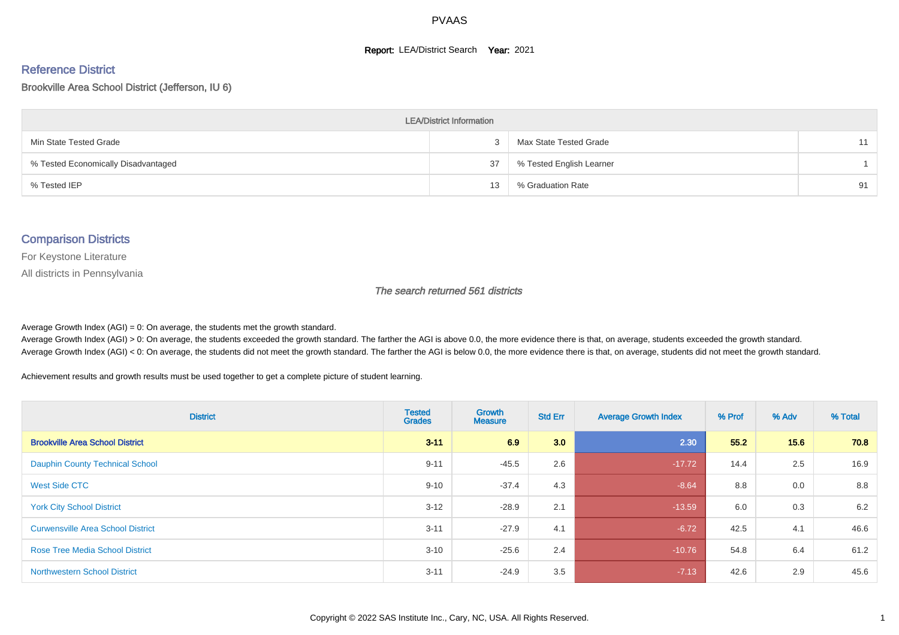#### **Report: LEA/District Search Year: 2021**

# Reference District

#### Brookville Area School District (Jefferson, IU 6)

| <b>LEA/District Information</b>     |    |                          |    |  |  |  |  |  |  |  |
|-------------------------------------|----|--------------------------|----|--|--|--|--|--|--|--|
| Min State Tested Grade              |    | Max State Tested Grade   | 11 |  |  |  |  |  |  |  |
| % Tested Economically Disadvantaged | 37 | % Tested English Learner |    |  |  |  |  |  |  |  |
| % Tested IEP                        | 13 | % Graduation Rate        | 91 |  |  |  |  |  |  |  |

#### Comparison Districts

For Keystone Literature

All districts in Pennsylvania

The search returned 561 districts

Average Growth Index  $(AGI) = 0$ : On average, the students met the growth standard.

Average Growth Index (AGI) > 0: On average, the students exceeded the growth standard. The farther the AGI is above 0.0, the more evidence there is that, on average, students exceeded the growth standard. Average Growth Index (AGI) < 0: On average, the students did not meet the growth standard. The farther the AGI is below 0.0, the more evidence there is that, on average, students did not meet the growth standard.

Achievement results and growth results must be used together to get a complete picture of student learning.

| <b>District</b>                          | <b>Tested</b><br><b>Grades</b> | Growth<br><b>Measure</b> | <b>Std Err</b> | <b>Average Growth Index</b> | % Prof | % Adv | % Total |
|------------------------------------------|--------------------------------|--------------------------|----------------|-----------------------------|--------|-------|---------|
| <b>Brookville Area School District</b>   | $3 - 11$                       | 6.9                      | 3.0            | 2.30                        | 55.2   | 15.6  | 70.8    |
| Dauphin County Technical School          | $9 - 11$                       | $-45.5$                  | 2.6            | $-17.72$                    | 14.4   | 2.5   | 16.9    |
| West Side CTC                            | $9 - 10$                       | $-37.4$                  | 4.3            | $-8.64$                     | 8.8    | 0.0   | 8.8     |
| <b>York City School District</b>         | $3 - 12$                       | $-28.9$                  | 2.1            | $-13.59$                    | 6.0    | 0.3   | 6.2     |
| <b>Curwensville Area School District</b> | $3 - 11$                       | $-27.9$                  | 4.1            | $-6.72$                     | 42.5   | 4.1   | 46.6    |
| <b>Rose Tree Media School District</b>   | $3 - 10$                       | $-25.6$                  | 2.4            | $-10.76$                    | 54.8   | 6.4   | 61.2    |
| <b>Northwestern School District</b>      | $3 - 11$                       | $-24.9$                  | 3.5            | $-7.13$                     | 42.6   | 2.9   | 45.6    |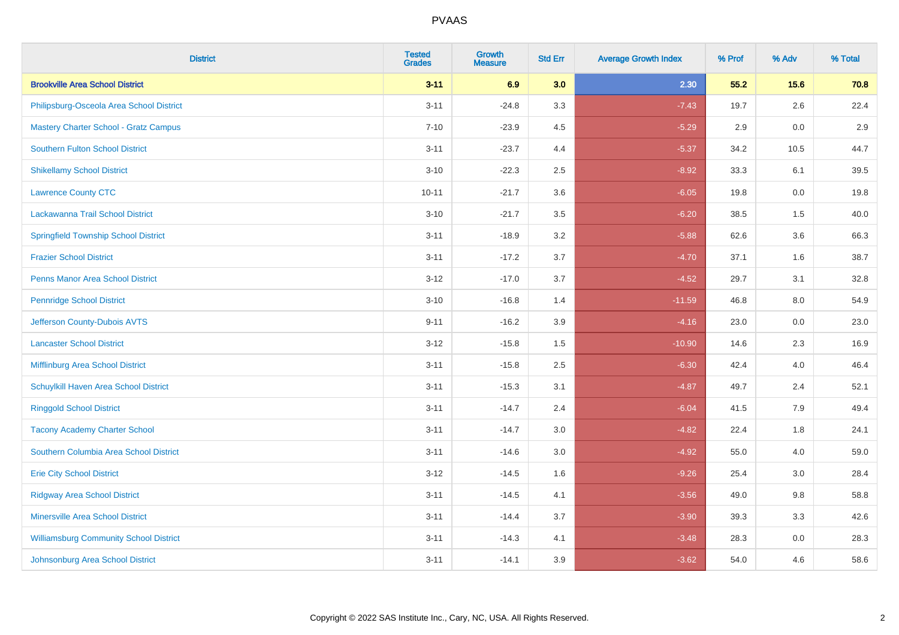| <b>District</b>                               | <b>Tested</b><br><b>Grades</b> | <b>Growth</b><br><b>Measure</b> | <b>Std Err</b> | <b>Average Growth Index</b> | % Prof | % Adv   | % Total |
|-----------------------------------------------|--------------------------------|---------------------------------|----------------|-----------------------------|--------|---------|---------|
| <b>Brookville Area School District</b>        | $3 - 11$                       | 6.9                             | 3.0            | 2.30                        | 55.2   | 15.6    | 70.8    |
| Philipsburg-Osceola Area School District      | $3 - 11$                       | $-24.8$                         | 3.3            | $-7.43$                     | 19.7   | $2.6\,$ | 22.4    |
| <b>Mastery Charter School - Gratz Campus</b>  | $7 - 10$                       | $-23.9$                         | 4.5            | $-5.29$                     | 2.9    | 0.0     | 2.9     |
| <b>Southern Fulton School District</b>        | $3 - 11$                       | $-23.7$                         | 4.4            | $-5.37$                     | 34.2   | 10.5    | 44.7    |
| <b>Shikellamy School District</b>             | $3 - 10$                       | $-22.3$                         | 2.5            | $-8.92$                     | 33.3   | 6.1     | 39.5    |
| <b>Lawrence County CTC</b>                    | $10 - 11$                      | $-21.7$                         | 3.6            | $-6.05$                     | 19.8   | 0.0     | 19.8    |
| Lackawanna Trail School District              | $3 - 10$                       | $-21.7$                         | 3.5            | $-6.20$                     | 38.5   | 1.5     | 40.0    |
| <b>Springfield Township School District</b>   | $3 - 11$                       | $-18.9$                         | 3.2            | $-5.88$                     | 62.6   | 3.6     | 66.3    |
| <b>Frazier School District</b>                | $3 - 11$                       | $-17.2$                         | 3.7            | $-4.70$                     | 37.1   | 1.6     | 38.7    |
| <b>Penns Manor Area School District</b>       | $3 - 12$                       | $-17.0$                         | 3.7            | $-4.52$                     | 29.7   | 3.1     | 32.8    |
| <b>Pennridge School District</b>              | $3 - 10$                       | $-16.8$                         | 1.4            | $-11.59$                    | 46.8   | 8.0     | 54.9    |
| Jefferson County-Dubois AVTS                  | $9 - 11$                       | $-16.2$                         | 3.9            | $-4.16$                     | 23.0   | 0.0     | 23.0    |
| <b>Lancaster School District</b>              | $3 - 12$                       | $-15.8$                         | $1.5\,$        | $-10.90$                    | 14.6   | $2.3\,$ | 16.9    |
| <b>Mifflinburg Area School District</b>       | $3 - 11$                       | $-15.8$                         | 2.5            | $-6.30$                     | 42.4   | 4.0     | 46.4    |
| Schuylkill Haven Area School District         | $3 - 11$                       | $-15.3$                         | 3.1            | $-4.87$                     | 49.7   | 2.4     | 52.1    |
| <b>Ringgold School District</b>               | $3 - 11$                       | $-14.7$                         | 2.4            | $-6.04$                     | 41.5   | 7.9     | 49.4    |
| <b>Tacony Academy Charter School</b>          | $3 - 11$                       | $-14.7$                         | 3.0            | $-4.82$                     | 22.4   | 1.8     | 24.1    |
| Southern Columbia Area School District        | $3 - 11$                       | $-14.6$                         | 3.0            | $-4.92$                     | 55.0   | 4.0     | 59.0    |
| <b>Erie City School District</b>              | $3 - 12$                       | $-14.5$                         | 1.6            | $-9.26$                     | 25.4   | 3.0     | 28.4    |
| <b>Ridgway Area School District</b>           | $3 - 11$                       | $-14.5$                         | 4.1            | $-3.56$                     | 49.0   | 9.8     | 58.8    |
| <b>Minersville Area School District</b>       | $3 - 11$                       | $-14.4$                         | 3.7            | $-3.90$                     | 39.3   | 3.3     | 42.6    |
| <b>Williamsburg Community School District</b> | $3 - 11$                       | $-14.3$                         | 4.1            | $-3.48$                     | 28.3   | 0.0     | 28.3    |
| Johnsonburg Area School District              | $3 - 11$                       | $-14.1$                         | 3.9            | $-3.62$                     | 54.0   | 4.6     | 58.6    |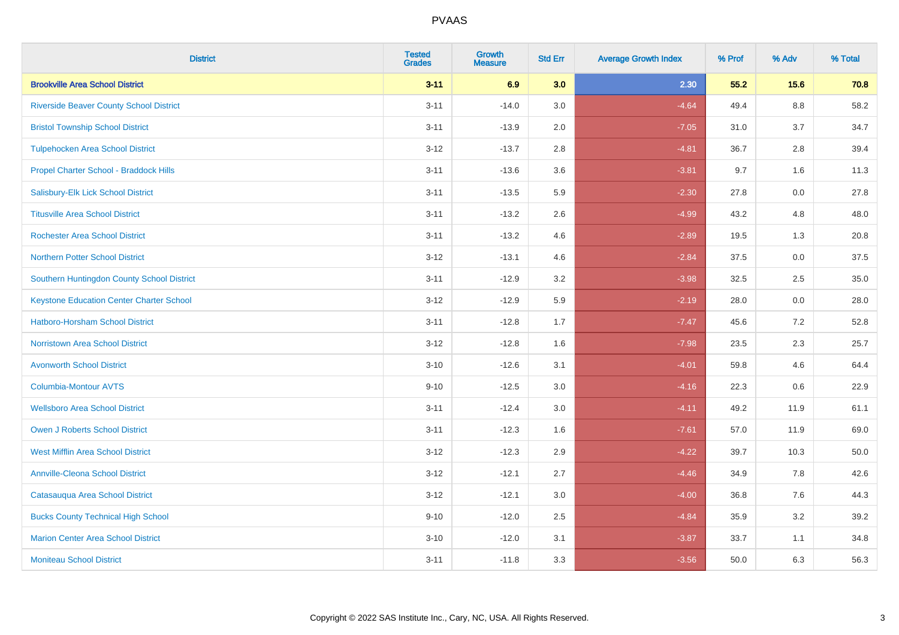| <b>District</b>                                 | <b>Tested</b><br><b>Grades</b> | <b>Growth</b><br><b>Measure</b> | <b>Std Err</b> | <b>Average Growth Index</b> | % Prof | % Adv   | % Total |
|-------------------------------------------------|--------------------------------|---------------------------------|----------------|-----------------------------|--------|---------|---------|
| <b>Brookville Area School District</b>          | $3 - 11$                       | 6.9                             | 3.0            | 2.30                        | 55.2   | 15.6    | 70.8    |
| <b>Riverside Beaver County School District</b>  | $3 - 11$                       | $-14.0$                         | 3.0            | $-4.64$                     | 49.4   | $8.8\,$ | 58.2    |
| <b>Bristol Township School District</b>         | $3 - 11$                       | $-13.9$                         | 2.0            | $-7.05$                     | 31.0   | 3.7     | 34.7    |
| <b>Tulpehocken Area School District</b>         | $3 - 12$                       | $-13.7$                         | 2.8            | $-4.81$                     | 36.7   | 2.8     | 39.4    |
| Propel Charter School - Braddock Hills          | $3 - 11$                       | $-13.6$                         | 3.6            | $-3.81$                     | 9.7    | 1.6     | 11.3    |
| Salisbury-Elk Lick School District              | $3 - 11$                       | $-13.5$                         | 5.9            | $-2.30$                     | 27.8   | 0.0     | 27.8    |
| <b>Titusville Area School District</b>          | $3 - 11$                       | $-13.2$                         | 2.6            | $-4.99$                     | 43.2   | 4.8     | 48.0    |
| <b>Rochester Area School District</b>           | $3 - 11$                       | $-13.2$                         | 4.6            | $-2.89$                     | 19.5   | 1.3     | 20.8    |
| <b>Northern Potter School District</b>          | $3 - 12$                       | $-13.1$                         | 4.6            | $-2.84$                     | 37.5   | 0.0     | 37.5    |
| Southern Huntingdon County School District      | $3 - 11$                       | $-12.9$                         | 3.2            | $-3.98$                     | 32.5   | 2.5     | 35.0    |
| <b>Keystone Education Center Charter School</b> | $3 - 12$                       | $-12.9$                         | 5.9            | $-2.19$                     | 28.0   | 0.0     | 28.0    |
| <b>Hatboro-Horsham School District</b>          | $3 - 11$                       | $-12.8$                         | 1.7            | $-7.47$                     | 45.6   | 7.2     | 52.8    |
| Norristown Area School District                 | $3 - 12$                       | $-12.8$                         | 1.6            | $-7.98$                     | 23.5   | $2.3\,$ | 25.7    |
| <b>Avonworth School District</b>                | $3 - 10$                       | $-12.6$                         | 3.1            | $-4.01$                     | 59.8   | 4.6     | 64.4    |
| <b>Columbia-Montour AVTS</b>                    | $9 - 10$                       | $-12.5$                         | 3.0            | $-4.16$                     | 22.3   | 0.6     | 22.9    |
| <b>Wellsboro Area School District</b>           | $3 - 11$                       | $-12.4$                         | 3.0            | $-4.11$                     | 49.2   | 11.9    | 61.1    |
| <b>Owen J Roberts School District</b>           | $3 - 11$                       | $-12.3$                         | 1.6            | $-7.61$                     | 57.0   | 11.9    | 69.0    |
| <b>West Mifflin Area School District</b>        | $3 - 12$                       | $-12.3$                         | 2.9            | $-4.22$                     | 39.7   | 10.3    | 50.0    |
| <b>Annville-Cleona School District</b>          | $3 - 12$                       | $-12.1$                         | 2.7            | $-4.46$                     | 34.9   | 7.8     | 42.6    |
| Catasauqua Area School District                 | $3 - 12$                       | $-12.1$                         | 3.0            | $-4.00$                     | 36.8   | 7.6     | 44.3    |
| <b>Bucks County Technical High School</b>       | $9 - 10$                       | $-12.0$                         | 2.5            | $-4.84$                     | 35.9   | 3.2     | 39.2    |
| <b>Marion Center Area School District</b>       | $3 - 10$                       | $-12.0$                         | 3.1            | $-3.87$                     | 33.7   | 1.1     | 34.8    |
| <b>Moniteau School District</b>                 | $3 - 11$                       | $-11.8$                         | 3.3            | $-3.56$                     | 50.0   | 6.3     | 56.3    |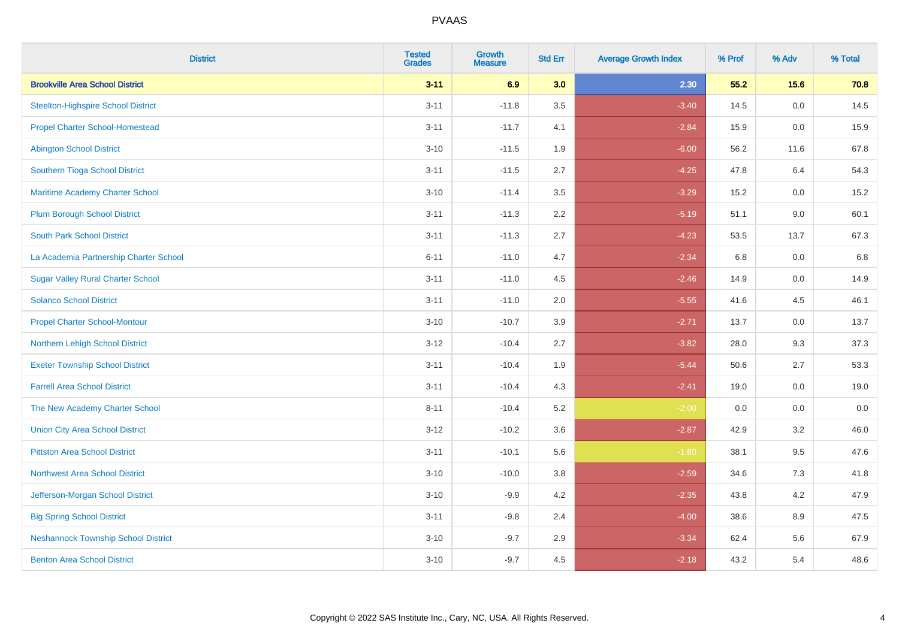| <b>District</b>                            | <b>Tested</b><br><b>Grades</b> | <b>Growth</b><br><b>Measure</b> | <b>Std Err</b> | <b>Average Growth Index</b> | % Prof | % Adv | % Total |
|--------------------------------------------|--------------------------------|---------------------------------|----------------|-----------------------------|--------|-------|---------|
| <b>Brookville Area School District</b>     | $3 - 11$                       | 6.9                             | 3.0            | 2.30                        | 55.2   | 15.6  | 70.8    |
| <b>Steelton-Highspire School District</b>  | $3 - 11$                       | $-11.8$                         | 3.5            | $-3.40$                     | 14.5   | 0.0   | 14.5    |
| <b>Propel Charter School-Homestead</b>     | $3 - 11$                       | $-11.7$                         | 4.1            | $-2.84$                     | 15.9   | 0.0   | 15.9    |
| <b>Abington School District</b>            | $3 - 10$                       | $-11.5$                         | 1.9            | $-6.00$                     | 56.2   | 11.6  | 67.8    |
| Southern Tioga School District             | $3 - 11$                       | $-11.5$                         | 2.7            | $-4.25$                     | 47.8   | 6.4   | 54.3    |
| Maritime Academy Charter School            | $3 - 10$                       | $-11.4$                         | 3.5            | $-3.29$                     | 15.2   | 0.0   | 15.2    |
| <b>Plum Borough School District</b>        | $3 - 11$                       | $-11.3$                         | 2.2            | $-5.19$                     | 51.1   | 9.0   | 60.1    |
| <b>South Park School District</b>          | $3 - 11$                       | $-11.3$                         | 2.7            | $-4.23$                     | 53.5   | 13.7  | 67.3    |
| La Academia Partnership Charter School     | $6 - 11$                       | $-11.0$                         | 4.7            | $-2.34$                     | 6.8    | 0.0   | 6.8     |
| <b>Sugar Valley Rural Charter School</b>   | $3 - 11$                       | $-11.0$                         | 4.5            | $-2.46$                     | 14.9   | 0.0   | 14.9    |
| <b>Solanco School District</b>             | $3 - 11$                       | $-11.0$                         | 2.0            | $-5.55$                     | 41.6   | 4.5   | 46.1    |
| <b>Propel Charter School-Montour</b>       | $3 - 10$                       | $-10.7$                         | 3.9            | $-2.71$                     | 13.7   | 0.0   | 13.7    |
| Northern Lehigh School District            | $3-12$                         | $-10.4$                         | 2.7            | $-3.82$                     | 28.0   | 9.3   | 37.3    |
| <b>Exeter Township School District</b>     | $3 - 11$                       | $-10.4$                         | 1.9            | $-5.44$                     | 50.6   | 2.7   | 53.3    |
| <b>Farrell Area School District</b>        | $3 - 11$                       | $-10.4$                         | 4.3            | $-2.41$                     | 19.0   | 0.0   | 19.0    |
| The New Academy Charter School             | $8 - 11$                       | $-10.4$                         | 5.2            | $-2.00$                     | 0.0    | 0.0   | 0.0     |
| <b>Union City Area School District</b>     | $3 - 12$                       | $-10.2$                         | 3.6            | $-2.87$                     | 42.9   | 3.2   | 46.0    |
| <b>Pittston Area School District</b>       | $3 - 11$                       | $-10.1$                         | 5.6            | $-1.80$                     | 38.1   | 9.5   | 47.6    |
| <b>Northwest Area School District</b>      | $3 - 10$                       | $-10.0$                         | 3.8            | $-2.59$                     | 34.6   | 7.3   | 41.8    |
| Jefferson-Morgan School District           | $3 - 10$                       | $-9.9$                          | 4.2            | $-2.35$                     | 43.8   | 4.2   | 47.9    |
| <b>Big Spring School District</b>          | $3 - 11$                       | $-9.8$                          | 2.4            | $-4.00$                     | 38.6   | 8.9   | 47.5    |
| <b>Neshannock Township School District</b> | $3 - 10$                       | $-9.7$                          | 2.9            | $-3.34$                     | 62.4   | 5.6   | 67.9    |
| <b>Benton Area School District</b>         | $3 - 10$                       | $-9.7$                          | 4.5            | $-2.18$                     | 43.2   | 5.4   | 48.6    |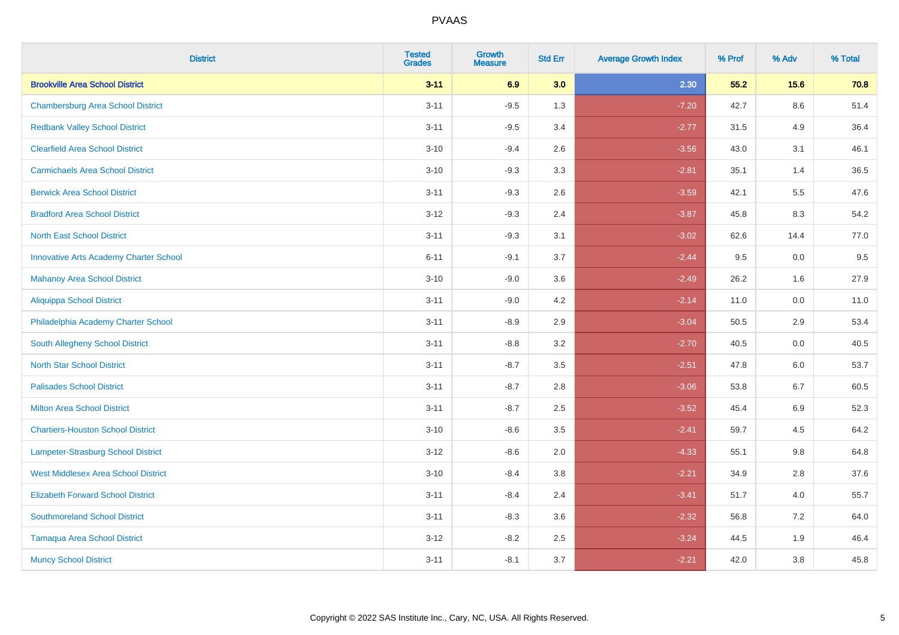| <b>District</b>                               | <b>Tested</b><br><b>Grades</b> | <b>Growth</b><br><b>Measure</b> | <b>Std Err</b> | <b>Average Growth Index</b> | % Prof | % Adv   | % Total |
|-----------------------------------------------|--------------------------------|---------------------------------|----------------|-----------------------------|--------|---------|---------|
| <b>Brookville Area School District</b>        | $3 - 11$                       | 6.9                             | 3.0            | 2.30                        | 55.2   | 15.6    | 70.8    |
| <b>Chambersburg Area School District</b>      | $3 - 11$                       | $-9.5$                          | 1.3            | $-7.20$                     | 42.7   | $8.6\,$ | 51.4    |
| <b>Redbank Valley School District</b>         | $3 - 11$                       | $-9.5$                          | 3.4            | $-2.77$                     | 31.5   | 4.9     | 36.4    |
| <b>Clearfield Area School District</b>        | $3 - 10$                       | $-9.4$                          | 2.6            | $-3.56$                     | 43.0   | 3.1     | 46.1    |
| <b>Carmichaels Area School District</b>       | $3 - 10$                       | $-9.3$                          | 3.3            | $-2.81$                     | 35.1   | 1.4     | 36.5    |
| <b>Berwick Area School District</b>           | $3 - 11$                       | $-9.3$                          | 2.6            | $-3.59$                     | 42.1   | 5.5     | 47.6    |
| <b>Bradford Area School District</b>          | $3 - 12$                       | $-9.3$                          | 2.4            | $-3.87$                     | 45.8   | 8.3     | 54.2    |
| <b>North East School District</b>             | $3 - 11$                       | $-9.3$                          | 3.1            | $-3.02$                     | 62.6   | 14.4    | 77.0    |
| <b>Innovative Arts Academy Charter School</b> | $6 - 11$                       | $-9.1$                          | 3.7            | $-2.44$                     | 9.5    | 0.0     | 9.5     |
| <b>Mahanoy Area School District</b>           | $3 - 10$                       | $-9.0$                          | 3.6            | $-2.49$                     | 26.2   | 1.6     | 27.9    |
| Aliquippa School District                     | $3 - 11$                       | $-9.0$                          | 4.2            | $-2.14$                     | 11.0   | 0.0     | 11.0    |
| Philadelphia Academy Charter School           | $3 - 11$                       | $-8.9$                          | 2.9            | $-3.04$                     | 50.5   | 2.9     | 53.4    |
| South Allegheny School District               | $3 - 11$                       | $-8.8$                          | 3.2            | $-2.70$                     | 40.5   | 0.0     | 40.5    |
| <b>North Star School District</b>             | $3 - 11$                       | $-8.7$                          | 3.5            | $-2.51$                     | 47.8   | 6.0     | 53.7    |
| <b>Palisades School District</b>              | $3 - 11$                       | $-8.7$                          | 2.8            | $-3.06$                     | 53.8   | 6.7     | 60.5    |
| <b>Milton Area School District</b>            | $3 - 11$                       | $-8.7$                          | 2.5            | $-3.52$                     | 45.4   | $6.9\,$ | 52.3    |
| <b>Chartiers-Houston School District</b>      | $3 - 10$                       | $-8.6$                          | 3.5            | $-2.41$                     | 59.7   | 4.5     | 64.2    |
| Lampeter-Strasburg School District            | $3 - 12$                       | $-8.6$                          | 2.0            | $-4.33$                     | 55.1   | 9.8     | 64.8    |
| <b>West Middlesex Area School District</b>    | $3 - 10$                       | $-8.4$                          | 3.8            | $-2.21$                     | 34.9   | 2.8     | 37.6    |
| <b>Elizabeth Forward School District</b>      | $3 - 11$                       | $-8.4$                          | 2.4            | $-3.41$                     | 51.7   | 4.0     | 55.7    |
| <b>Southmoreland School District</b>          | $3 - 11$                       | $-8.3$                          | 3.6            | $-2.32$                     | 56.8   | 7.2     | 64.0    |
| <b>Tamaqua Area School District</b>           | $3 - 12$                       | $-8.2$                          | 2.5            | $-3.24$                     | 44.5   | 1.9     | 46.4    |
| <b>Muncy School District</b>                  | $3 - 11$                       | $-8.1$                          | 3.7            | $-2.21$                     | 42.0   | 3.8     | 45.8    |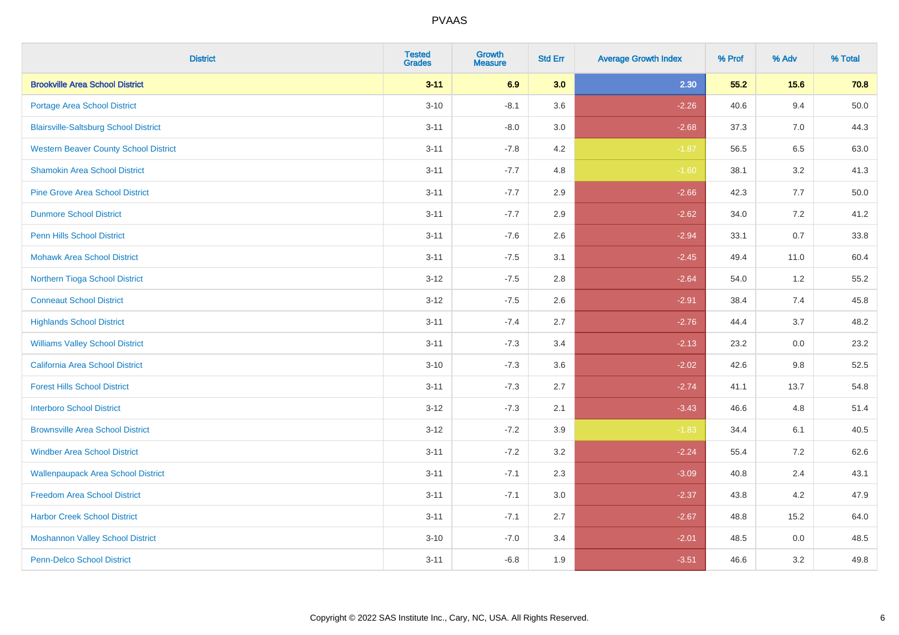| <b>District</b>                              | <b>Tested</b><br><b>Grades</b> | <b>Growth</b><br><b>Measure</b> | <b>Std Err</b> | <b>Average Growth Index</b> | % Prof | % Adv   | % Total |
|----------------------------------------------|--------------------------------|---------------------------------|----------------|-----------------------------|--------|---------|---------|
| <b>Brookville Area School District</b>       | $3 - 11$                       | 6.9                             | 3.0            | 2.30                        | 55.2   | 15.6    | 70.8    |
| Portage Area School District                 | $3 - 10$                       | $-8.1$                          | 3.6            | $-2.26$                     | 40.6   | 9.4     | 50.0    |
| <b>Blairsville-Saltsburg School District</b> | $3 - 11$                       | $-8.0$                          | 3.0            | $-2.68$                     | 37.3   | 7.0     | 44.3    |
| <b>Western Beaver County School District</b> | $3 - 11$                       | $-7.8$                          | 4.2            | $-1.87$                     | 56.5   | 6.5     | 63.0    |
| <b>Shamokin Area School District</b>         | $3 - 11$                       | $-7.7$                          | 4.8            | $-1.60$                     | 38.1   | 3.2     | 41.3    |
| <b>Pine Grove Area School District</b>       | $3 - 11$                       | $-7.7$                          | 2.9            | $-2.66$                     | 42.3   | 7.7     | 50.0    |
| <b>Dunmore School District</b>               | $3 - 11$                       | $-7.7$                          | 2.9            | $-2.62$                     | 34.0   | 7.2     | 41.2    |
| <b>Penn Hills School District</b>            | $3 - 11$                       | $-7.6$                          | 2.6            | $-2.94$                     | 33.1   | 0.7     | 33.8    |
| <b>Mohawk Area School District</b>           | $3 - 11$                       | $-7.5$                          | 3.1            | $-2.45$                     | 49.4   | 11.0    | 60.4    |
| Northern Tioga School District               | $3 - 12$                       | $-7.5$                          | 2.8            | $-2.64$                     | 54.0   | 1.2     | 55.2    |
| <b>Conneaut School District</b>              | $3 - 12$                       | $-7.5$                          | 2.6            | $-2.91$                     | 38.4   | 7.4     | 45.8    |
| <b>Highlands School District</b>             | $3 - 11$                       | $-7.4$                          | 2.7            | $-2.76$                     | 44.4   | 3.7     | 48.2    |
| <b>Williams Valley School District</b>       | $3 - 11$                       | $-7.3$                          | 3.4            | $-2.13$                     | 23.2   | 0.0     | 23.2    |
| <b>California Area School District</b>       | $3 - 10$                       | $-7.3$                          | 3.6            | $-2.02$                     | 42.6   | 9.8     | 52.5    |
| <b>Forest Hills School District</b>          | $3 - 11$                       | $-7.3$                          | 2.7            | $-2.74$                     | 41.1   | 13.7    | 54.8    |
| <b>Interboro School District</b>             | $3 - 12$                       | $-7.3$                          | 2.1            | $-3.43$                     | 46.6   | 4.8     | 51.4    |
| <b>Brownsville Area School District</b>      | $3 - 12$                       | $-7.2$                          | 3.9            | $-1.83$                     | 34.4   | 6.1     | 40.5    |
| <b>Windber Area School District</b>          | $3 - 11$                       | $-7.2$                          | 3.2            | $-2.24$                     | 55.4   | 7.2     | 62.6    |
| <b>Wallenpaupack Area School District</b>    | $3 - 11$                       | $-7.1$                          | 2.3            | $-3.09$                     | 40.8   | 2.4     | 43.1    |
| <b>Freedom Area School District</b>          | $3 - 11$                       | $-7.1$                          | 3.0            | $-2.37$                     | 43.8   | 4.2     | 47.9    |
| <b>Harbor Creek School District</b>          | $3 - 11$                       | $-7.1$                          | 2.7            | $-2.67$                     | 48.8   | 15.2    | 64.0    |
| <b>Moshannon Valley School District</b>      | $3 - 10$                       | $-7.0$                          | 3.4            | $-2.01$                     | 48.5   | $0.0\,$ | 48.5    |
| <b>Penn-Delco School District</b>            | $3 - 11$                       | $-6.8$                          | 1.9            | $-3.51$                     | 46.6   | 3.2     | 49.8    |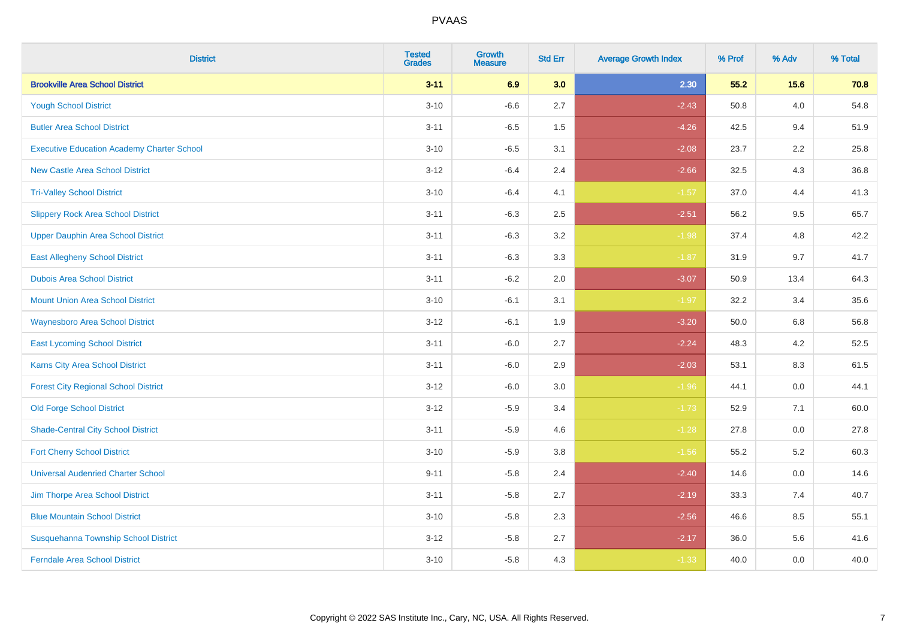| <b>District</b>                                   | <b>Tested</b><br><b>Grades</b> | <b>Growth</b><br><b>Measure</b> | <b>Std Err</b> | <b>Average Growth Index</b> | % Prof | % Adv   | % Total |
|---------------------------------------------------|--------------------------------|---------------------------------|----------------|-----------------------------|--------|---------|---------|
| <b>Brookville Area School District</b>            | $3 - 11$                       | 6.9                             | 3.0            | 2.30                        | 55.2   | 15.6    | 70.8    |
| <b>Yough School District</b>                      | $3 - 10$                       | $-6.6$                          | 2.7            | $-2.43$                     | 50.8   | 4.0     | 54.8    |
| <b>Butler Area School District</b>                | $3 - 11$                       | $-6.5$                          | 1.5            | $-4.26$                     | 42.5   | 9.4     | 51.9    |
| <b>Executive Education Academy Charter School</b> | $3 - 10$                       | $-6.5$                          | 3.1            | $-2.08$                     | 23.7   | 2.2     | 25.8    |
| <b>New Castle Area School District</b>            | $3 - 12$                       | $-6.4$                          | 2.4            | $-2.66$                     | 32.5   | 4.3     | 36.8    |
| <b>Tri-Valley School District</b>                 | $3 - 10$                       | $-6.4$                          | 4.1            | $-1.57$                     | 37.0   | 4.4     | 41.3    |
| <b>Slippery Rock Area School District</b>         | $3 - 11$                       | $-6.3$                          | 2.5            | $-2.51$                     | 56.2   | 9.5     | 65.7    |
| <b>Upper Dauphin Area School District</b>         | $3 - 11$                       | $-6.3$                          | 3.2            | $-1.98$                     | 37.4   | 4.8     | 42.2    |
| <b>East Allegheny School District</b>             | $3 - 11$                       | $-6.3$                          | 3.3            | $-1.87$                     | 31.9   | 9.7     | 41.7    |
| <b>Dubois Area School District</b>                | $3 - 11$                       | $-6.2$                          | 2.0            | $-3.07$                     | 50.9   | 13.4    | 64.3    |
| <b>Mount Union Area School District</b>           | $3 - 10$                       | $-6.1$                          | 3.1            | $-1.97$                     | 32.2   | 3.4     | 35.6    |
| Waynesboro Area School District                   | $3 - 12$                       | $-6.1$                          | 1.9            | $-3.20$                     | 50.0   | 6.8     | 56.8    |
| <b>East Lycoming School District</b>              | $3 - 11$                       | $-6.0$                          | 2.7            | $-2.24$                     | 48.3   | $4.2\,$ | 52.5    |
| <b>Karns City Area School District</b>            | $3 - 11$                       | $-6.0$                          | 2.9            | $-2.03$                     | 53.1   | 8.3     | 61.5    |
| <b>Forest City Regional School District</b>       | $3 - 12$                       | $-6.0$                          | 3.0            | $-1.96$                     | 44.1   | 0.0     | 44.1    |
| <b>Old Forge School District</b>                  | $3 - 12$                       | $-5.9$                          | 3.4            | $-1.73$                     | 52.9   | 7.1     | 60.0    |
| <b>Shade-Central City School District</b>         | $3 - 11$                       | $-5.9$                          | 4.6            | $-1.28$                     | 27.8   | 0.0     | 27.8    |
| <b>Fort Cherry School District</b>                | $3 - 10$                       | $-5.9$                          | 3.8            | $-1.56$                     | 55.2   | 5.2     | 60.3    |
| <b>Universal Audenried Charter School</b>         | $9 - 11$                       | $-5.8$                          | 2.4            | $-2.40$                     | 14.6   | 0.0     | 14.6    |
| Jim Thorpe Area School District                   | $3 - 11$                       | $-5.8$                          | 2.7            | $-2.19$                     | 33.3   | 7.4     | 40.7    |
| <b>Blue Mountain School District</b>              | $3 - 10$                       | $-5.8$                          | 2.3            | $-2.56$                     | 46.6   | 8.5     | 55.1    |
| Susquehanna Township School District              | $3 - 12$                       | $-5.8$                          | 2.7            | $-2.17$                     | 36.0   | 5.6     | 41.6    |
| <b>Ferndale Area School District</b>              | $3 - 10$                       | $-5.8$                          | 4.3            | $-1.33$                     | 40.0   | 0.0     | 40.0    |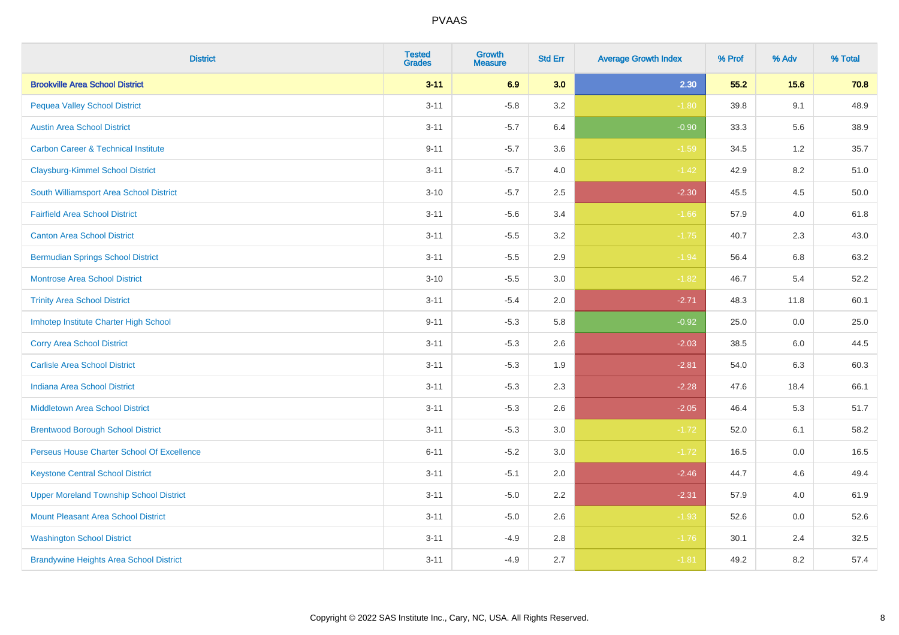| <b>District</b>                                | <b>Tested</b><br><b>Grades</b> | <b>Growth</b><br><b>Measure</b> | <b>Std Err</b> | <b>Average Growth Index</b> | % Prof | % Adv | % Total |
|------------------------------------------------|--------------------------------|---------------------------------|----------------|-----------------------------|--------|-------|---------|
| <b>Brookville Area School District</b>         | $3 - 11$                       | 6.9                             | 3.0            | 2.30                        | 55.2   | 15.6  | 70.8    |
| <b>Pequea Valley School District</b>           | $3 - 11$                       | $-5.8$                          | 3.2            | $-1.80$                     | 39.8   | 9.1   | 48.9    |
| <b>Austin Area School District</b>             | $3 - 11$                       | $-5.7$                          | 6.4            | $-0.90$                     | 33.3   | 5.6   | 38.9    |
| <b>Carbon Career &amp; Technical Institute</b> | $9 - 11$                       | $-5.7$                          | 3.6            | $-1.59$                     | 34.5   | 1.2   | 35.7    |
| <b>Claysburg-Kimmel School District</b>        | $3 - 11$                       | $-5.7$                          | 4.0            | $-1.42$                     | 42.9   | 8.2   | 51.0    |
| South Williamsport Area School District        | $3 - 10$                       | $-5.7$                          | 2.5            | $-2.30$                     | 45.5   | 4.5   | 50.0    |
| <b>Fairfield Area School District</b>          | $3 - 11$                       | $-5.6$                          | 3.4            | $-1.66$                     | 57.9   | 4.0   | 61.8    |
| <b>Canton Area School District</b>             | $3 - 11$                       | $-5.5$                          | 3.2            | $-1.75$                     | 40.7   | 2.3   | 43.0    |
| <b>Bermudian Springs School District</b>       | $3 - 11$                       | $-5.5$                          | 2.9            | $-1.94$                     | 56.4   | 6.8   | 63.2    |
| <b>Montrose Area School District</b>           | $3 - 10$                       | $-5.5$                          | 3.0            | $-1.82$                     | 46.7   | 5.4   | 52.2    |
| <b>Trinity Area School District</b>            | $3 - 11$                       | $-5.4$                          | 2.0            | $-2.71$                     | 48.3   | 11.8  | 60.1    |
| Imhotep Institute Charter High School          | $9 - 11$                       | $-5.3$                          | 5.8            | $-0.92$                     | 25.0   | 0.0   | 25.0    |
| <b>Corry Area School District</b>              | $3 - 11$                       | $-5.3$                          | 2.6            | $-2.03$                     | 38.5   | 6.0   | 44.5    |
| <b>Carlisle Area School District</b>           | $3 - 11$                       | $-5.3$                          | 1.9            | $-2.81$                     | 54.0   | 6.3   | 60.3    |
| <b>Indiana Area School District</b>            | $3 - 11$                       | $-5.3$                          | 2.3            | $-2.28$                     | 47.6   | 18.4  | 66.1    |
| <b>Middletown Area School District</b>         | $3 - 11$                       | $-5.3$                          | 2.6            | $-2.05$                     | 46.4   | 5.3   | 51.7    |
| <b>Brentwood Borough School District</b>       | $3 - 11$                       | $-5.3$                          | 3.0            | $-1.72$                     | 52.0   | 6.1   | 58.2    |
| Perseus House Charter School Of Excellence     | $6 - 11$                       | $-5.2$                          | 3.0            | $-1.72$                     | 16.5   | 0.0   | 16.5    |
| <b>Keystone Central School District</b>        | $3 - 11$                       | $-5.1$                          | 2.0            | $-2.46$                     | 44.7   | 4.6   | 49.4    |
| <b>Upper Moreland Township School District</b> | $3 - 11$                       | $-5.0$                          | 2.2            | $-2.31$                     | 57.9   | 4.0   | 61.9    |
| <b>Mount Pleasant Area School District</b>     | $3 - 11$                       | $-5.0$                          | 2.6            | $-1.93$                     | 52.6   | 0.0   | 52.6    |
| <b>Washington School District</b>              | $3 - 11$                       | $-4.9$                          | 2.8            | $-1.76$                     | 30.1   | 2.4   | 32.5    |
| <b>Brandywine Heights Area School District</b> | $3 - 11$                       | $-4.9$                          | 2.7            | $-1.81$                     | 49.2   | 8.2   | 57.4    |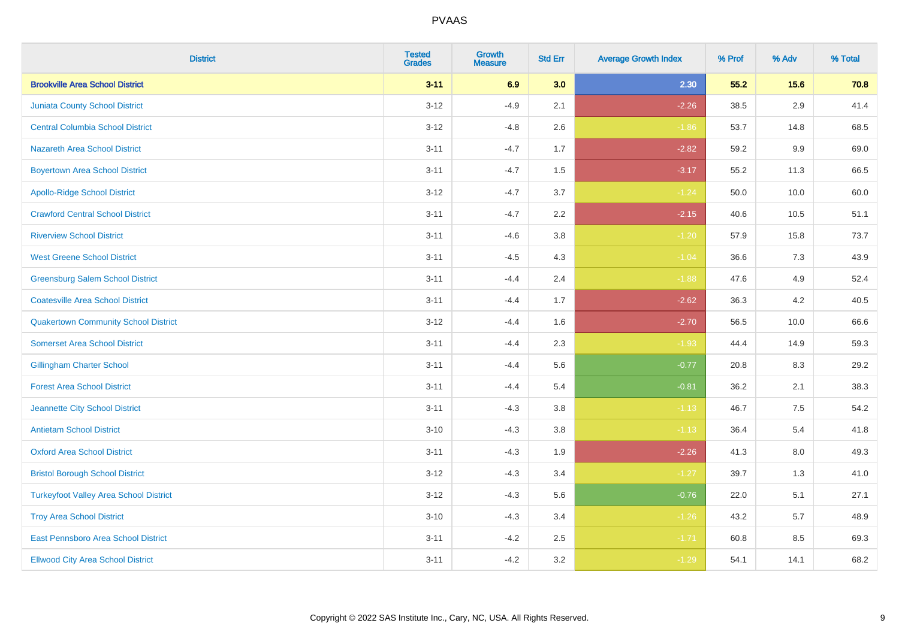| <b>District</b>                               | <b>Tested</b><br><b>Grades</b> | <b>Growth</b><br><b>Measure</b> | <b>Std Err</b> | <b>Average Growth Index</b> | % Prof | % Adv   | % Total |
|-----------------------------------------------|--------------------------------|---------------------------------|----------------|-----------------------------|--------|---------|---------|
| <b>Brookville Area School District</b>        | $3 - 11$                       | 6.9                             | 3.0            | 2.30                        | 55.2   | 15.6    | 70.8    |
| <b>Juniata County School District</b>         | $3 - 12$                       | $-4.9$                          | 2.1            | $-2.26$                     | 38.5   | 2.9     | 41.4    |
| <b>Central Columbia School District</b>       | $3 - 12$                       | $-4.8$                          | 2.6            | $-1.86$                     | 53.7   | 14.8    | 68.5    |
| <b>Nazareth Area School District</b>          | $3 - 11$                       | $-4.7$                          | 1.7            | $-2.82$                     | 59.2   | 9.9     | 69.0    |
| <b>Boyertown Area School District</b>         | $3 - 11$                       | $-4.7$                          | 1.5            | $-3.17$                     | 55.2   | 11.3    | 66.5    |
| <b>Apollo-Ridge School District</b>           | $3 - 12$                       | $-4.7$                          | 3.7            | $-1.24$                     | 50.0   | 10.0    | 60.0    |
| <b>Crawford Central School District</b>       | $3 - 11$                       | $-4.7$                          | 2.2            | $-2.15$                     | 40.6   | 10.5    | 51.1    |
| <b>Riverview School District</b>              | $3 - 11$                       | $-4.6$                          | 3.8            | $-1.20$                     | 57.9   | 15.8    | 73.7    |
| <b>West Greene School District</b>            | $3 - 11$                       | $-4.5$                          | 4.3            | $-1.04$                     | 36.6   | 7.3     | 43.9    |
| <b>Greensburg Salem School District</b>       | $3 - 11$                       | $-4.4$                          | 2.4            | $-1.88$                     | 47.6   | 4.9     | 52.4    |
| <b>Coatesville Area School District</b>       | $3 - 11$                       | $-4.4$                          | 1.7            | $-2.62$                     | 36.3   | 4.2     | 40.5    |
| <b>Quakertown Community School District</b>   | $3 - 12$                       | $-4.4$                          | 1.6            | $-2.70$                     | 56.5   | 10.0    | 66.6    |
| <b>Somerset Area School District</b>          | $3 - 11$                       | $-4.4$                          | 2.3            | $-1.93$                     | 44.4   | 14.9    | 59.3    |
| <b>Gillingham Charter School</b>              | $3 - 11$                       | $-4.4$                          | 5.6            | $-0.77$                     | 20.8   | 8.3     | 29.2    |
| <b>Forest Area School District</b>            | $3 - 11$                       | $-4.4$                          | 5.4            | $-0.81$                     | 36.2   | 2.1     | 38.3    |
| Jeannette City School District                | $3 - 11$                       | $-4.3$                          | 3.8            | $-1.13$                     | 46.7   | $7.5\,$ | 54.2    |
| <b>Antietam School District</b>               | $3 - 10$                       | $-4.3$                          | 3.8            | $-1.13$                     | 36.4   | 5.4     | 41.8    |
| <b>Oxford Area School District</b>            | $3 - 11$                       | $-4.3$                          | 1.9            | $-2.26$                     | 41.3   | 8.0     | 49.3    |
| <b>Bristol Borough School District</b>        | $3 - 12$                       | $-4.3$                          | 3.4            | $-1.27$                     | 39.7   | 1.3     | 41.0    |
| <b>Turkeyfoot Valley Area School District</b> | $3 - 12$                       | $-4.3$                          | 5.6            | $-0.76$                     | 22.0   | 5.1     | 27.1    |
| <b>Troy Area School District</b>              | $3 - 10$                       | $-4.3$                          | 3.4            | $-1.26$                     | 43.2   | 5.7     | 48.9    |
| East Pennsboro Area School District           | $3 - 11$                       | $-4.2$                          | 2.5            | $-1.71$                     | 60.8   | 8.5     | 69.3    |
| <b>Ellwood City Area School District</b>      | $3 - 11$                       | $-4.2$                          | 3.2            | $-1.29$                     | 54.1   | 14.1    | 68.2    |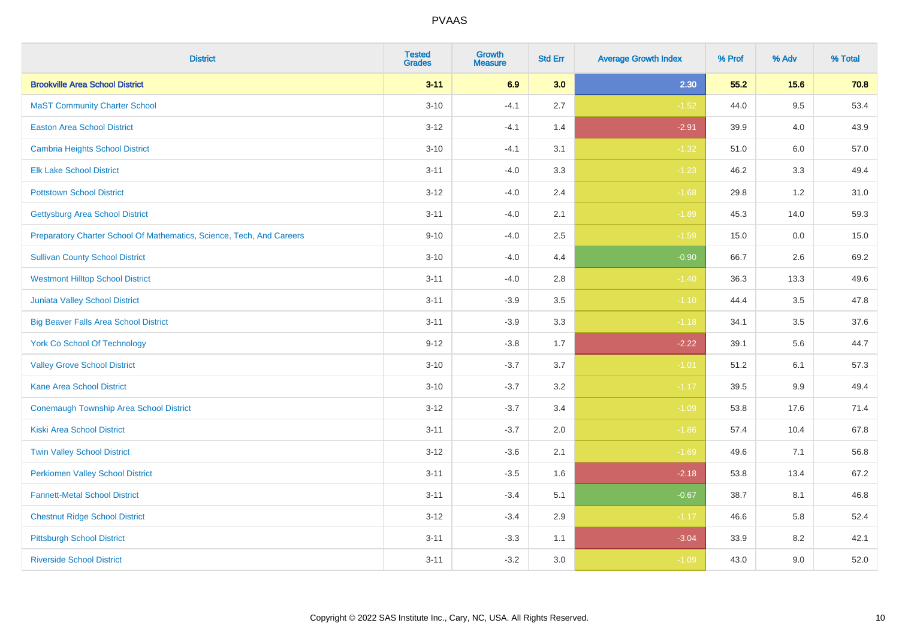| <b>District</b>                                                       | <b>Tested</b><br><b>Grades</b> | <b>Growth</b><br><b>Measure</b> | <b>Std Err</b> | <b>Average Growth Index</b> | % Prof | % Adv   | % Total |
|-----------------------------------------------------------------------|--------------------------------|---------------------------------|----------------|-----------------------------|--------|---------|---------|
| <b>Brookville Area School District</b>                                | $3 - 11$                       | 6.9                             | 3.0            | 2.30                        | 55.2   | 15.6    | 70.8    |
| <b>MaST Community Charter School</b>                                  | $3 - 10$                       | $-4.1$                          | 2.7            | $-1.52$                     | 44.0   | 9.5     | 53.4    |
| <b>Easton Area School District</b>                                    | $3 - 12$                       | $-4.1$                          | 1.4            | $-2.91$                     | 39.9   | 4.0     | 43.9    |
| <b>Cambria Heights School District</b>                                | $3 - 10$                       | $-4.1$                          | 3.1            | $-1.32$                     | 51.0   | 6.0     | 57.0    |
| <b>Elk Lake School District</b>                                       | $3 - 11$                       | $-4.0$                          | 3.3            | $-1.23$                     | 46.2   | 3.3     | 49.4    |
| <b>Pottstown School District</b>                                      | $3 - 12$                       | $-4.0$                          | 2.4            | $-1.68$                     | 29.8   | 1.2     | 31.0    |
| <b>Gettysburg Area School District</b>                                | $3 - 11$                       | $-4.0$                          | 2.1            | $-1.89$                     | 45.3   | 14.0    | 59.3    |
| Preparatory Charter School Of Mathematics, Science, Tech, And Careers | $9 - 10$                       | $-4.0$                          | 2.5            | $-1.59$                     | 15.0   | 0.0     | 15.0    |
| <b>Sullivan County School District</b>                                | $3 - 10$                       | $-4.0$                          | 4.4            | $-0.90$                     | 66.7   | 2.6     | 69.2    |
| <b>Westmont Hilltop School District</b>                               | $3 - 11$                       | $-4.0$                          | 2.8            | $-1.40$                     | 36.3   | 13.3    | 49.6    |
| Juniata Valley School District                                        | $3 - 11$                       | $-3.9$                          | 3.5            | $-1.10$                     | 44.4   | 3.5     | 47.8    |
| <b>Big Beaver Falls Area School District</b>                          | $3 - 11$                       | $-3.9$                          | 3.3            | $-1.18$                     | 34.1   | 3.5     | 37.6    |
| <b>York Co School Of Technology</b>                                   | $9 - 12$                       | $-3.8$                          | 1.7            | $-2.22$                     | 39.1   | 5.6     | 44.7    |
| <b>Valley Grove School District</b>                                   | $3 - 10$                       | $-3.7$                          | 3.7            | $-1.01$                     | 51.2   | 6.1     | 57.3    |
| <b>Kane Area School District</b>                                      | $3 - 10$                       | $-3.7$                          | 3.2            | $-1.17$                     | 39.5   | $9.9\,$ | 49.4    |
| <b>Conemaugh Township Area School District</b>                        | $3 - 12$                       | $-3.7$                          | 3.4            | $-1.09$                     | 53.8   | 17.6    | 71.4    |
| <b>Kiski Area School District</b>                                     | $3 - 11$                       | $-3.7$                          | 2.0            | $-1.86$                     | 57.4   | 10.4    | 67.8    |
| <b>Twin Valley School District</b>                                    | $3 - 12$                       | $-3.6$                          | 2.1            | $-1.69$                     | 49.6   | 7.1     | 56.8    |
| <b>Perkiomen Valley School District</b>                               | $3 - 11$                       | $-3.5$                          | 1.6            | $-2.18$                     | 53.8   | 13.4    | 67.2    |
| <b>Fannett-Metal School District</b>                                  | $3 - 11$                       | $-3.4$                          | 5.1            | $-0.67$                     | 38.7   | 8.1     | 46.8    |
| <b>Chestnut Ridge School District</b>                                 | $3 - 12$                       | $-3.4$                          | 2.9            | $-1.17$                     | 46.6   | 5.8     | 52.4    |
| <b>Pittsburgh School District</b>                                     | $3 - 11$                       | $-3.3$                          | 1.1            | $-3.04$                     | 33.9   | 8.2     | 42.1    |
| <b>Riverside School District</b>                                      | $3 - 11$                       | $-3.2$                          | 3.0            | $-1.09$                     | 43.0   | 9.0     | 52.0    |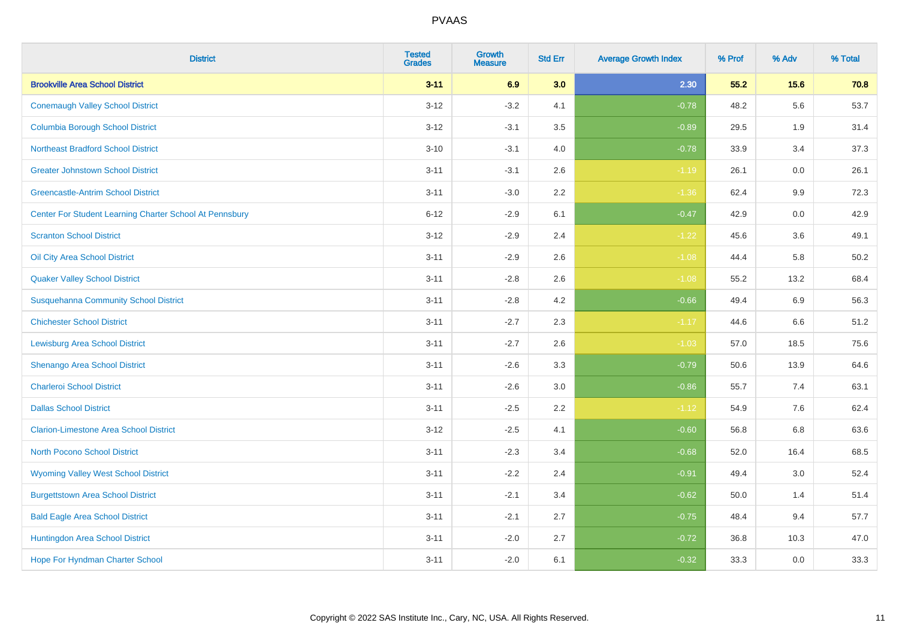| <b>District</b>                                         | <b>Tested</b><br><b>Grades</b> | <b>Growth</b><br><b>Measure</b> | <b>Std Err</b> | <b>Average Growth Index</b> | % Prof | % Adv   | % Total |
|---------------------------------------------------------|--------------------------------|---------------------------------|----------------|-----------------------------|--------|---------|---------|
| <b>Brookville Area School District</b>                  | $3 - 11$                       | 6.9                             | 3.0            | 2.30                        | 55.2   | 15.6    | 70.8    |
| <b>Conemaugh Valley School District</b>                 | $3 - 12$                       | $-3.2$                          | 4.1            | $-0.78$                     | 48.2   | 5.6     | 53.7    |
| <b>Columbia Borough School District</b>                 | $3 - 12$                       | $-3.1$                          | 3.5            | $-0.89$                     | 29.5   | 1.9     | 31.4    |
| <b>Northeast Bradford School District</b>               | $3 - 10$                       | $-3.1$                          | 4.0            | $-0.78$                     | 33.9   | 3.4     | 37.3    |
| <b>Greater Johnstown School District</b>                | $3 - 11$                       | $-3.1$                          | 2.6            | $-1.19$                     | 26.1   | 0.0     | 26.1    |
| <b>Greencastle-Antrim School District</b>               | $3 - 11$                       | $-3.0$                          | 2.2            | $-1.36$                     | 62.4   | 9.9     | 72.3    |
| Center For Student Learning Charter School At Pennsbury | $6 - 12$                       | $-2.9$                          | 6.1            | $-0.47$                     | 42.9   | 0.0     | 42.9    |
| <b>Scranton School District</b>                         | $3 - 12$                       | $-2.9$                          | 2.4            | $-1.22$                     | 45.6   | 3.6     | 49.1    |
| Oil City Area School District                           | $3 - 11$                       | $-2.9$                          | 2.6            | $-1.08$                     | 44.4   | 5.8     | 50.2    |
| <b>Quaker Valley School District</b>                    | $3 - 11$                       | $-2.8$                          | 2.6            | $-1.08$                     | 55.2   | 13.2    | 68.4    |
| <b>Susquehanna Community School District</b>            | $3 - 11$                       | $-2.8$                          | 4.2            | $-0.66$                     | 49.4   | 6.9     | 56.3    |
| <b>Chichester School District</b>                       | $3 - 11$                       | $-2.7$                          | 2.3            | $-1.17$                     | 44.6   | 6.6     | 51.2    |
| <b>Lewisburg Area School District</b>                   | $3 - 11$                       | $-2.7$                          | 2.6            | $-1.03$                     | 57.0   | 18.5    | 75.6    |
| Shenango Area School District                           | $3 - 11$                       | $-2.6$                          | 3.3            | $-0.79$                     | 50.6   | 13.9    | 64.6    |
| <b>Charleroi School District</b>                        | $3 - 11$                       | $-2.6$                          | 3.0            | $-0.86$                     | 55.7   | 7.4     | 63.1    |
| <b>Dallas School District</b>                           | $3 - 11$                       | $-2.5$                          | 2.2            | $-1.12$                     | 54.9   | $7.6\,$ | 62.4    |
| <b>Clarion-Limestone Area School District</b>           | $3 - 12$                       | $-2.5$                          | 4.1            | $-0.60$                     | 56.8   | 6.8     | 63.6    |
| North Pocono School District                            | $3 - 11$                       | $-2.3$                          | 3.4            | $-0.68$                     | 52.0   | 16.4    | 68.5    |
| <b>Wyoming Valley West School District</b>              | $3 - 11$                       | $-2.2$                          | 2.4            | $-0.91$                     | 49.4   | 3.0     | 52.4    |
| <b>Burgettstown Area School District</b>                | $3 - 11$                       | $-2.1$                          | 3.4            | $-0.62$                     | 50.0   | 1.4     | 51.4    |
| <b>Bald Eagle Area School District</b>                  | $3 - 11$                       | $-2.1$                          | 2.7            | $-0.75$                     | 48.4   | 9.4     | 57.7    |
| Huntingdon Area School District                         | $3 - 11$                       | $-2.0$                          | 2.7            | $-0.72$                     | 36.8   | 10.3    | 47.0    |
| <b>Hope For Hyndman Charter School</b>                  | $3 - 11$                       | $-2.0$                          | 6.1            | $-0.32$                     | 33.3   | 0.0     | 33.3    |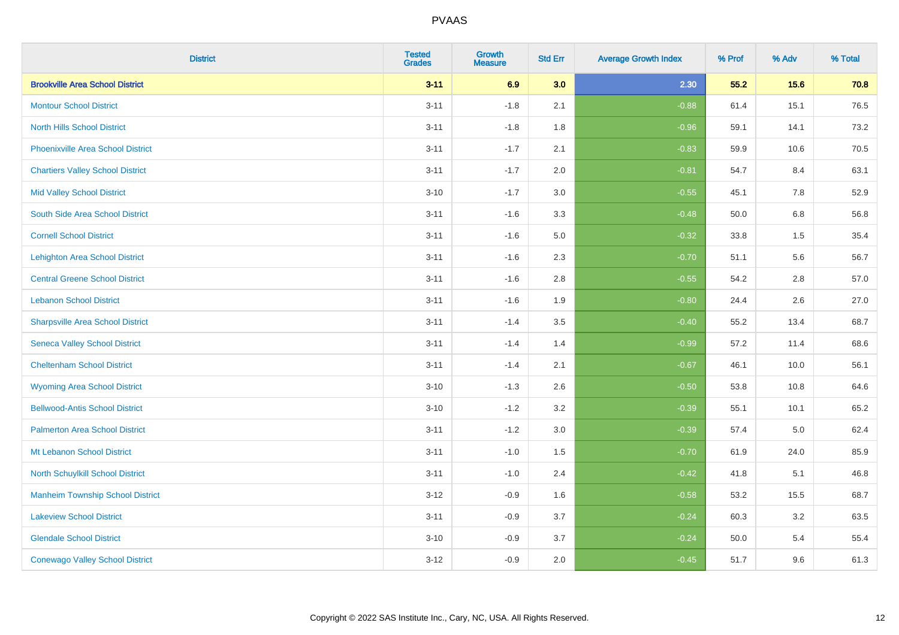| <b>District</b>                          | <b>Tested</b><br><b>Grades</b> | <b>Growth</b><br><b>Measure</b> | <b>Std Err</b> | <b>Average Growth Index</b> | % Prof | % Adv | % Total |
|------------------------------------------|--------------------------------|---------------------------------|----------------|-----------------------------|--------|-------|---------|
| <b>Brookville Area School District</b>   | $3 - 11$                       | 6.9                             | 3.0            | 2.30                        | 55.2   | 15.6  | 70.8    |
| <b>Montour School District</b>           | $3 - 11$                       | $-1.8$                          | 2.1            | $-0.88$                     | 61.4   | 15.1  | 76.5    |
| <b>North Hills School District</b>       | $3 - 11$                       | $-1.8$                          | 1.8            | $-0.96$                     | 59.1   | 14.1  | 73.2    |
| <b>Phoenixville Area School District</b> | $3 - 11$                       | $-1.7$                          | 2.1            | $-0.83$                     | 59.9   | 10.6  | 70.5    |
| <b>Chartiers Valley School District</b>  | $3 - 11$                       | $-1.7$                          | 2.0            | $-0.81$                     | 54.7   | 8.4   | 63.1    |
| <b>Mid Valley School District</b>        | $3 - 10$                       | $-1.7$                          | 3.0            | $-0.55$                     | 45.1   | 7.8   | 52.9    |
| South Side Area School District          | $3 - 11$                       | $-1.6$                          | 3.3            | $-0.48$                     | 50.0   | 6.8   | 56.8    |
| <b>Cornell School District</b>           | $3 - 11$                       | $-1.6$                          | 5.0            | $-0.32$                     | 33.8   | 1.5   | 35.4    |
| <b>Lehighton Area School District</b>    | $3 - 11$                       | $-1.6$                          | 2.3            | $-0.70$                     | 51.1   | 5.6   | 56.7    |
| <b>Central Greene School District</b>    | $3 - 11$                       | $-1.6$                          | 2.8            | $-0.55$                     | 54.2   | 2.8   | 57.0    |
| <b>Lebanon School District</b>           | $3 - 11$                       | $-1.6$                          | 1.9            | $-0.80$                     | 24.4   | 2.6   | 27.0    |
| <b>Sharpsville Area School District</b>  | $3 - 11$                       | $-1.4$                          | 3.5            | $-0.40$                     | 55.2   | 13.4  | 68.7    |
| <b>Seneca Valley School District</b>     | $3 - 11$                       | $-1.4$                          | 1.4            | $-0.99$                     | 57.2   | 11.4  | 68.6    |
| <b>Cheltenham School District</b>        | $3 - 11$                       | $-1.4$                          | 2.1            | $-0.67$                     | 46.1   | 10.0  | 56.1    |
| <b>Wyoming Area School District</b>      | $3 - 10$                       | $-1.3$                          | 2.6            | $-0.50$                     | 53.8   | 10.8  | 64.6    |
| <b>Bellwood-Antis School District</b>    | $3 - 10$                       | $-1.2$                          | 3.2            | $-0.39$                     | 55.1   | 10.1  | 65.2    |
| <b>Palmerton Area School District</b>    | $3 - 11$                       | $-1.2$                          | 3.0            | $-0.39$                     | 57.4   | 5.0   | 62.4    |
| Mt Lebanon School District               | $3 - 11$                       | $-1.0$                          | 1.5            | $-0.70$                     | 61.9   | 24.0  | 85.9    |
| <b>North Schuylkill School District</b>  | $3 - 11$                       | $-1.0$                          | 2.4            | $-0.42$                     | 41.8   | 5.1   | 46.8    |
| <b>Manheim Township School District</b>  | $3 - 12$                       | $-0.9$                          | 1.6            | $-0.58$                     | 53.2   | 15.5  | 68.7    |
| <b>Lakeview School District</b>          | $3 - 11$                       | $-0.9$                          | 3.7            | $-0.24$                     | 60.3   | 3.2   | 63.5    |
| <b>Glendale School District</b>          | $3 - 10$                       | $-0.9$                          | 3.7            | $-0.24$                     | 50.0   | 5.4   | 55.4    |
| <b>Conewago Valley School District</b>   | $3 - 12$                       | $-0.9$                          | 2.0            | $-0.45$                     | 51.7   | 9.6   | 61.3    |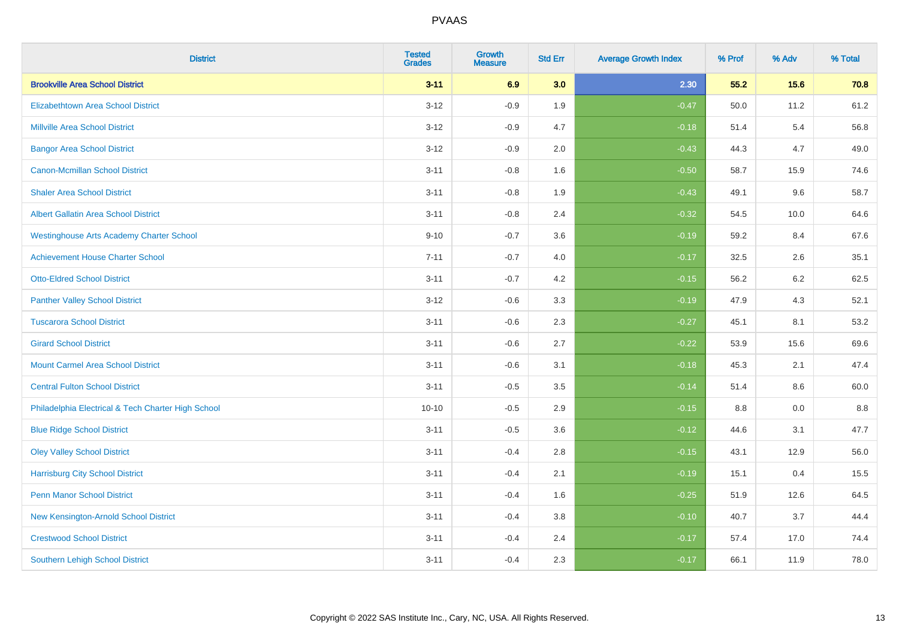| <b>District</b>                                    | <b>Tested</b><br><b>Grades</b> | <b>Growth</b><br><b>Measure</b> | <b>Std Err</b> | <b>Average Growth Index</b> | % Prof | % Adv   | % Total |
|----------------------------------------------------|--------------------------------|---------------------------------|----------------|-----------------------------|--------|---------|---------|
| <b>Brookville Area School District</b>             | $3 - 11$                       | 6.9                             | 3.0            | 2.30                        | 55.2   | 15.6    | 70.8    |
| <b>Elizabethtown Area School District</b>          | $3 - 12$                       | $-0.9$                          | 1.9            | $-0.47$                     | 50.0   | 11.2    | 61.2    |
| <b>Millville Area School District</b>              | $3 - 12$                       | $-0.9$                          | 4.7            | $-0.18$                     | 51.4   | 5.4     | 56.8    |
| <b>Bangor Area School District</b>                 | $3 - 12$                       | $-0.9$                          | 2.0            | $-0.43$                     | 44.3   | 4.7     | 49.0    |
| <b>Canon-Mcmillan School District</b>              | $3 - 11$                       | $-0.8$                          | 1.6            | $-0.50$                     | 58.7   | 15.9    | 74.6    |
| <b>Shaler Area School District</b>                 | $3 - 11$                       | $-0.8$                          | 1.9            | $-0.43$                     | 49.1   | 9.6     | 58.7    |
| <b>Albert Gallatin Area School District</b>        | $3 - 11$                       | $-0.8$                          | 2.4            | $-0.32$                     | 54.5   | 10.0    | 64.6    |
| <b>Westinghouse Arts Academy Charter School</b>    | $9 - 10$                       | $-0.7$                          | 3.6            | $-0.19$                     | 59.2   | 8.4     | 67.6    |
| <b>Achievement House Charter School</b>            | $7 - 11$                       | $-0.7$                          | 4.0            | $-0.17$                     | 32.5   | 2.6     | 35.1    |
| <b>Otto-Eldred School District</b>                 | $3 - 11$                       | $-0.7$                          | 4.2            | $-0.15$                     | 56.2   | $6.2\,$ | 62.5    |
| <b>Panther Valley School District</b>              | $3 - 12$                       | $-0.6$                          | 3.3            | $-0.19$                     | 47.9   | 4.3     | 52.1    |
| <b>Tuscarora School District</b>                   | $3 - 11$                       | $-0.6$                          | 2.3            | $-0.27$                     | 45.1   | 8.1     | 53.2    |
| <b>Girard School District</b>                      | $3 - 11$                       | $-0.6$                          | 2.7            | $-0.22$                     | 53.9   | 15.6    | 69.6    |
| <b>Mount Carmel Area School District</b>           | $3 - 11$                       | $-0.6$                          | 3.1            | $-0.18$                     | 45.3   | 2.1     | 47.4    |
| <b>Central Fulton School District</b>              | $3 - 11$                       | $-0.5$                          | 3.5            | $-0.14$                     | 51.4   | 8.6     | 60.0    |
| Philadelphia Electrical & Tech Charter High School | $10 - 10$                      | $-0.5$                          | 2.9            | $-0.15$                     | 8.8    | 0.0     | 8.8     |
| <b>Blue Ridge School District</b>                  | $3 - 11$                       | $-0.5$                          | 3.6            | $-0.12$                     | 44.6   | 3.1     | 47.7    |
| <b>Oley Valley School District</b>                 | $3 - 11$                       | $-0.4$                          | 2.8            | $-0.15$                     | 43.1   | 12.9    | 56.0    |
| <b>Harrisburg City School District</b>             | $3 - 11$                       | $-0.4$                          | 2.1            | $-0.19$                     | 15.1   | 0.4     | 15.5    |
| <b>Penn Manor School District</b>                  | $3 - 11$                       | $-0.4$                          | 1.6            | $-0.25$                     | 51.9   | 12.6    | 64.5    |
| New Kensington-Arnold School District              | $3 - 11$                       | $-0.4$                          | 3.8            | $-0.10$                     | 40.7   | 3.7     | 44.4    |
| <b>Crestwood School District</b>                   | $3 - 11$                       | $-0.4$                          | 2.4            | $-0.17$                     | 57.4   | 17.0    | 74.4    |
| <b>Southern Lehigh School District</b>             | $3 - 11$                       | $-0.4$                          | 2.3            | $-0.17$                     | 66.1   | 11.9    | 78.0    |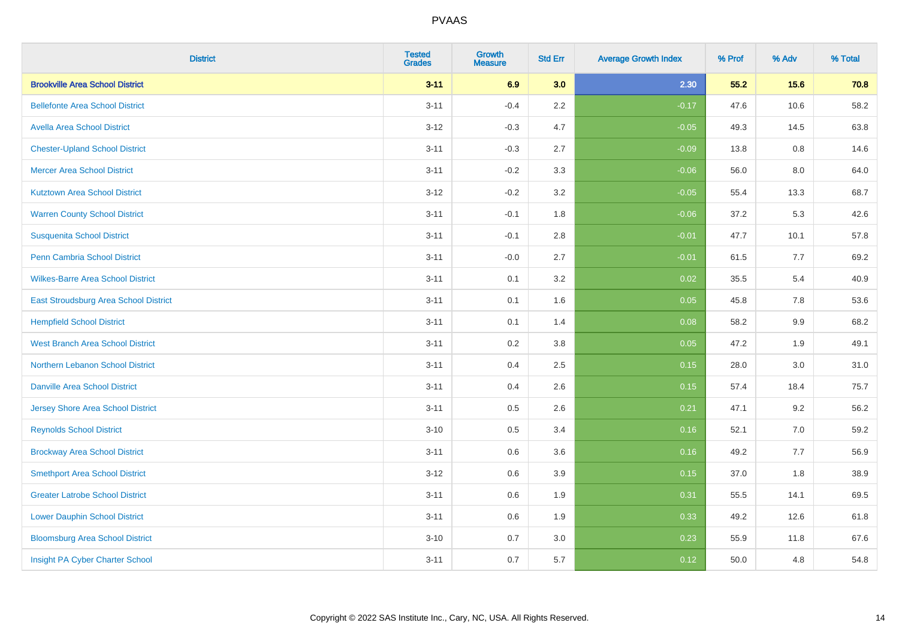| <b>District</b>                          | <b>Tested</b><br><b>Grades</b> | <b>Growth</b><br><b>Measure</b> | <b>Std Err</b> | <b>Average Growth Index</b> | % Prof | % Adv | % Total |
|------------------------------------------|--------------------------------|---------------------------------|----------------|-----------------------------|--------|-------|---------|
| <b>Brookville Area School District</b>   | $3 - 11$                       | 6.9                             | 3.0            | 2.30                        | 55.2   | 15.6  | 70.8    |
| <b>Bellefonte Area School District</b>   | $3 - 11$                       | $-0.4$                          | $2.2\,$        | $-0.17$                     | 47.6   | 10.6  | 58.2    |
| <b>Avella Area School District</b>       | $3 - 12$                       | $-0.3$                          | 4.7            | $-0.05$                     | 49.3   | 14.5  | 63.8    |
| <b>Chester-Upland School District</b>    | $3 - 11$                       | $-0.3$                          | 2.7            | $-0.09$                     | 13.8   | 0.8   | 14.6    |
| <b>Mercer Area School District</b>       | $3 - 11$                       | $-0.2$                          | 3.3            | $-0.06$                     | 56.0   | 8.0   | 64.0    |
| <b>Kutztown Area School District</b>     | $3 - 12$                       | $-0.2$                          | 3.2            | $-0.05$                     | 55.4   | 13.3  | 68.7    |
| <b>Warren County School District</b>     | $3 - 11$                       | $-0.1$                          | 1.8            | $-0.06$                     | 37.2   | 5.3   | 42.6    |
| <b>Susquenita School District</b>        | $3 - 11$                       | $-0.1$                          | 2.8            | $-0.01$                     | 47.7   | 10.1  | 57.8    |
| Penn Cambria School District             | $3 - 11$                       | $-0.0$                          | 2.7            | $-0.01$                     | 61.5   | 7.7   | 69.2    |
| <b>Wilkes-Barre Area School District</b> | $3 - 11$                       | 0.1                             | 3.2            | 0.02                        | 35.5   | 5.4   | 40.9    |
| East Stroudsburg Area School District    | $3 - 11$                       | 0.1                             | 1.6            | 0.05                        | 45.8   | 7.8   | 53.6    |
| <b>Hempfield School District</b>         | $3 - 11$                       | 0.1                             | 1.4            | 0.08                        | 58.2   | 9.9   | 68.2    |
| <b>West Branch Area School District</b>  | $3 - 11$                       | 0.2                             | $3.8\,$        | 0.05                        | 47.2   | 1.9   | 49.1    |
| Northern Lebanon School District         | $3 - 11$                       | 0.4                             | 2.5            | 0.15                        | 28.0   | 3.0   | 31.0    |
| <b>Danville Area School District</b>     | $3 - 11$                       | 0.4                             | 2.6            | 0.15                        | 57.4   | 18.4  | 75.7    |
| <b>Jersey Shore Area School District</b> | $3 - 11$                       | 0.5                             | 2.6            | 0.21                        | 47.1   | 9.2   | 56.2    |
| <b>Reynolds School District</b>          | $3 - 10$                       | 0.5                             | 3.4            | 0.16                        | 52.1   | 7.0   | 59.2    |
| <b>Brockway Area School District</b>     | $3 - 11$                       | 0.6                             | 3.6            | 0.16                        | 49.2   | 7.7   | 56.9    |
| <b>Smethport Area School District</b>    | $3 - 12$                       | 0.6                             | 3.9            | 0.15                        | 37.0   | 1.8   | 38.9    |
| <b>Greater Latrobe School District</b>   | $3 - 11$                       | 0.6                             | 1.9            | 0.31                        | 55.5   | 14.1  | 69.5    |
| <b>Lower Dauphin School District</b>     | $3 - 11$                       | 0.6                             | 1.9            | 0.33                        | 49.2   | 12.6  | 61.8    |
| <b>Bloomsburg Area School District</b>   | $3 - 10$                       | 0.7                             | 3.0            | 0.23                        | 55.9   | 11.8  | 67.6    |
| Insight PA Cyber Charter School          | $3 - 11$                       | 0.7                             | 5.7            | 0.12                        | 50.0   | 4.8   | 54.8    |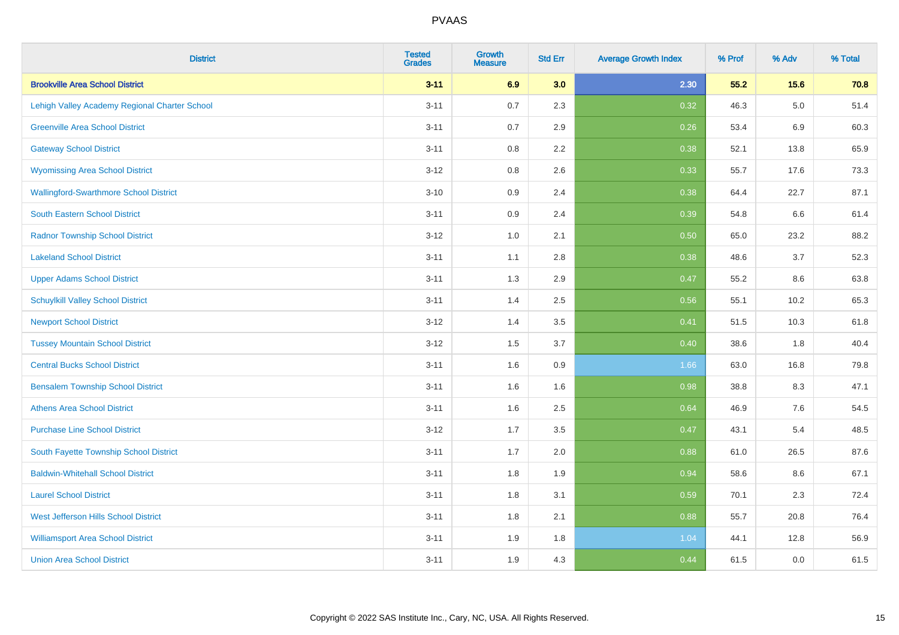| <b>District</b>                               | <b>Tested</b><br><b>Grades</b> | <b>Growth</b><br><b>Measure</b> | <b>Std Err</b> | <b>Average Growth Index</b> | % Prof | % Adv   | % Total |
|-----------------------------------------------|--------------------------------|---------------------------------|----------------|-----------------------------|--------|---------|---------|
| <b>Brookville Area School District</b>        | $3 - 11$                       | 6.9                             | 3.0            | 2.30                        | 55.2   | 15.6    | 70.8    |
| Lehigh Valley Academy Regional Charter School | $3 - 11$                       | 0.7                             | 2.3            | 0.32                        | 46.3   | $5.0\,$ | 51.4    |
| <b>Greenville Area School District</b>        | $3 - 11$                       | 0.7                             | 2.9            | 0.26                        | 53.4   | 6.9     | 60.3    |
| <b>Gateway School District</b>                | $3 - 11$                       | 0.8                             | 2.2            | 0.38                        | 52.1   | 13.8    | 65.9    |
| <b>Wyomissing Area School District</b>        | $3 - 12$                       | 0.8                             | 2.6            | 0.33                        | 55.7   | 17.6    | 73.3    |
| <b>Wallingford-Swarthmore School District</b> | $3 - 10$                       | 0.9                             | 2.4            | 0.38                        | 64.4   | 22.7    | 87.1    |
| South Eastern School District                 | $3 - 11$                       | 0.9                             | 2.4            | 0.39                        | 54.8   | 6.6     | 61.4    |
| <b>Radnor Township School District</b>        | $3 - 12$                       | 1.0                             | 2.1            | 0.50                        | 65.0   | 23.2    | 88.2    |
| <b>Lakeland School District</b>               | $3 - 11$                       | 1.1                             | 2.8            | 0.38                        | 48.6   | 3.7     | 52.3    |
| <b>Upper Adams School District</b>            | $3 - 11$                       | 1.3                             | 2.9            | 0.47                        | 55.2   | 8.6     | 63.8    |
| <b>Schuylkill Valley School District</b>      | $3 - 11$                       | 1.4                             | 2.5            | 0.56                        | 55.1   | 10.2    | 65.3    |
| <b>Newport School District</b>                | $3 - 12$                       | 1.4                             | 3.5            | 0.41                        | 51.5   | 10.3    | 61.8    |
| <b>Tussey Mountain School District</b>        | $3 - 12$                       | 1.5                             | 3.7            | 0.40                        | 38.6   | 1.8     | 40.4    |
| <b>Central Bucks School District</b>          | $3 - 11$                       | 1.6                             | 0.9            | 1.66                        | 63.0   | 16.8    | 79.8    |
| <b>Bensalem Township School District</b>      | $3 - 11$                       | 1.6                             | 1.6            | 0.98                        | 38.8   | 8.3     | 47.1    |
| <b>Athens Area School District</b>            | $3 - 11$                       | 1.6                             | 2.5            | 0.64                        | 46.9   | $7.6\,$ | 54.5    |
| <b>Purchase Line School District</b>          | $3 - 12$                       | 1.7                             | 3.5            | 0.47                        | 43.1   | 5.4     | 48.5    |
| South Fayette Township School District        | $3 - 11$                       | 1.7                             | 2.0            | 0.88                        | 61.0   | 26.5    | 87.6    |
| <b>Baldwin-Whitehall School District</b>      | $3 - 11$                       | 1.8                             | 1.9            | 0.94                        | 58.6   | 8.6     | 67.1    |
| <b>Laurel School District</b>                 | $3 - 11$                       | 1.8                             | 3.1            | 0.59                        | 70.1   | 2.3     | 72.4    |
| <b>West Jefferson Hills School District</b>   | $3 - 11$                       | 1.8                             | 2.1            | 0.88                        | 55.7   | 20.8    | 76.4    |
| <b>Williamsport Area School District</b>      | $3 - 11$                       | 1.9                             | 1.8            | 1.04                        | 44.1   | 12.8    | 56.9    |
| <b>Union Area School District</b>             | $3 - 11$                       | 1.9                             | 4.3            | 0.44                        | 61.5   | 0.0     | 61.5    |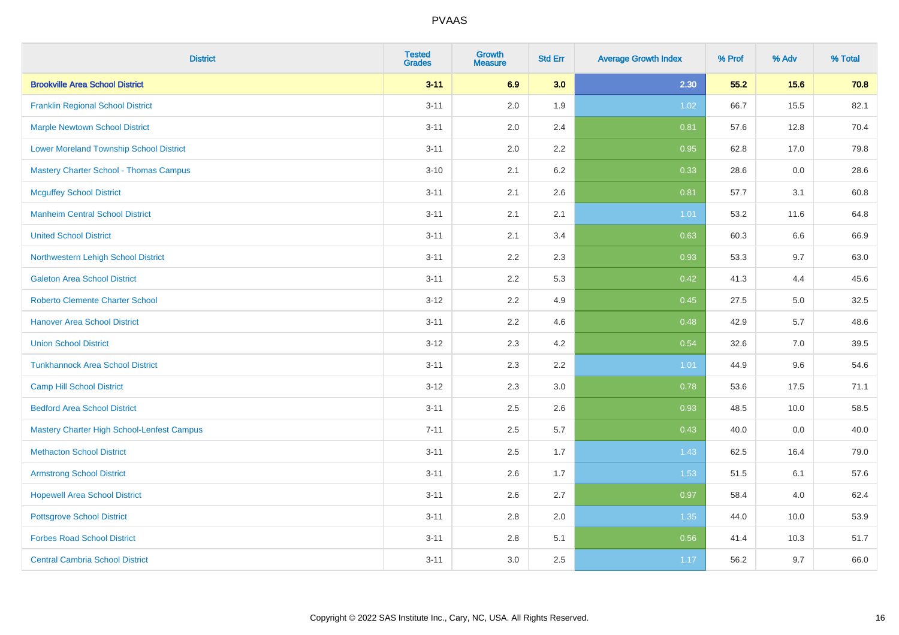| <b>District</b>                                | <b>Tested</b><br><b>Grades</b> | <b>Growth</b><br><b>Measure</b> | <b>Std Err</b> | <b>Average Growth Index</b> | % Prof | % Adv | % Total |
|------------------------------------------------|--------------------------------|---------------------------------|----------------|-----------------------------|--------|-------|---------|
| <b>Brookville Area School District</b>         | $3 - 11$                       | 6.9                             | 3.0            | 2.30                        | 55.2   | 15.6  | 70.8    |
| <b>Franklin Regional School District</b>       | $3 - 11$                       | 2.0                             | 1.9            | 1.02                        | 66.7   | 15.5  | 82.1    |
| <b>Marple Newtown School District</b>          | $3 - 11$                       | 2.0                             | 2.4            | 0.81                        | 57.6   | 12.8  | 70.4    |
| <b>Lower Moreland Township School District</b> | $3 - 11$                       | 2.0                             | 2.2            | 0.95                        | 62.8   | 17.0  | 79.8    |
| Mastery Charter School - Thomas Campus         | $3 - 10$                       | 2.1                             | 6.2            | 0.33                        | 28.6   | 0.0   | 28.6    |
| <b>Mcguffey School District</b>                | $3 - 11$                       | 2.1                             | 2.6            | 0.81                        | 57.7   | 3.1   | 60.8    |
| <b>Manheim Central School District</b>         | $3 - 11$                       | 2.1                             | 2.1            | 1.01                        | 53.2   | 11.6  | 64.8    |
| <b>United School District</b>                  | $3 - 11$                       | 2.1                             | 3.4            | 0.63                        | 60.3   | 6.6   | 66.9    |
| Northwestern Lehigh School District            | $3 - 11$                       | 2.2                             | 2.3            | 0.93                        | 53.3   | 9.7   | 63.0    |
| <b>Galeton Area School District</b>            | $3 - 11$                       | 2.2                             | 5.3            | 0.42                        | 41.3   | 4.4   | 45.6    |
| <b>Roberto Clemente Charter School</b>         | $3 - 12$                       | 2.2                             | 4.9            | 0.45                        | 27.5   | 5.0   | 32.5    |
| <b>Hanover Area School District</b>            | $3 - 11$                       | 2.2                             | 4.6            | 0.48                        | 42.9   | 5.7   | 48.6    |
| <b>Union School District</b>                   | $3 - 12$                       | 2.3                             | 4.2            | 0.54                        | 32.6   | 7.0   | 39.5    |
| <b>Tunkhannock Area School District</b>        | $3 - 11$                       | 2.3                             | 2.2            | 1.01                        | 44.9   | 9.6   | 54.6    |
| <b>Camp Hill School District</b>               | $3 - 12$                       | 2.3                             | 3.0            | 0.78                        | 53.6   | 17.5  | 71.1    |
| <b>Bedford Area School District</b>            | $3 - 11$                       | 2.5                             | 2.6            | 0.93                        | 48.5   | 10.0  | 58.5    |
| Mastery Charter High School-Lenfest Campus     | $7 - 11$                       | 2.5                             | 5.7            | 0.43                        | 40.0   | 0.0   | 40.0    |
| <b>Methacton School District</b>               | $3 - 11$                       | 2.5                             | 1.7            | 1.43                        | 62.5   | 16.4  | 79.0    |
| <b>Armstrong School District</b>               | $3 - 11$                       | 2.6                             | 1.7            | 1.53                        | 51.5   | 6.1   | 57.6    |
| <b>Hopewell Area School District</b>           | $3 - 11$                       | 2.6                             | 2.7            | 0.97                        | 58.4   | 4.0   | 62.4    |
| <b>Pottsgrove School District</b>              | $3 - 11$                       | 2.8                             | 2.0            | 1.35                        | 44.0   | 10.0  | 53.9    |
| <b>Forbes Road School District</b>             | $3 - 11$                       | $2.8\,$                         | 5.1            | 0.56                        | 41.4   | 10.3  | 51.7    |
| <b>Central Cambria School District</b>         | $3 - 11$                       | 3.0                             | 2.5            | 1.17                        | 56.2   | 9.7   | 66.0    |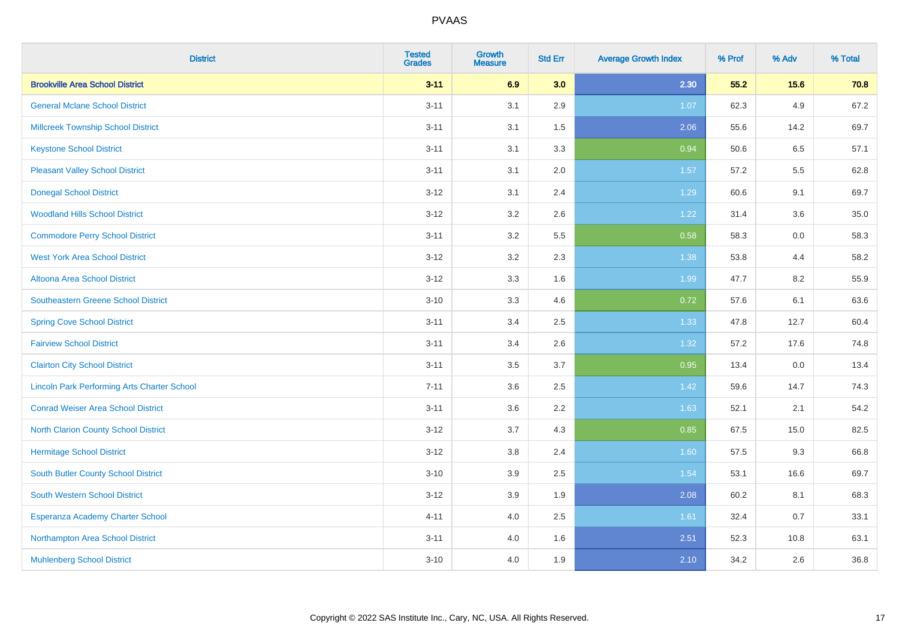| <b>District</b>                                    | <b>Tested</b><br><b>Grades</b> | <b>Growth</b><br><b>Measure</b> | <b>Std Err</b> | <b>Average Growth Index</b> | % Prof | % Adv | % Total |
|----------------------------------------------------|--------------------------------|---------------------------------|----------------|-----------------------------|--------|-------|---------|
| <b>Brookville Area School District</b>             | $3 - 11$                       | 6.9                             | 3.0            | 2.30                        | 55.2   | 15.6  | 70.8    |
| <b>General Mclane School District</b>              | $3 - 11$                       | 3.1                             | 2.9            | 1.07                        | 62.3   | 4.9   | 67.2    |
| <b>Millcreek Township School District</b>          | $3 - 11$                       | 3.1                             | 1.5            | 2.06                        | 55.6   | 14.2  | 69.7    |
| <b>Keystone School District</b>                    | $3 - 11$                       | 3.1                             | 3.3            | 0.94                        | 50.6   | 6.5   | 57.1    |
| <b>Pleasant Valley School District</b>             | $3 - 11$                       | 3.1                             | 2.0            | 1.57                        | 57.2   | 5.5   | 62.8    |
| <b>Donegal School District</b>                     | $3 - 12$                       | 3.1                             | 2.4            | 1.29                        | 60.6   | 9.1   | 69.7    |
| <b>Woodland Hills School District</b>              | $3 - 12$                       | 3.2                             | 2.6            | 1.22                        | 31.4   | 3.6   | 35.0    |
| <b>Commodore Perry School District</b>             | $3 - 11$                       | 3.2                             | 5.5            | 0.58                        | 58.3   | 0.0   | 58.3    |
| <b>West York Area School District</b>              | $3 - 12$                       | 3.2                             | 2.3            | 1.38                        | 53.8   | 4.4   | 58.2    |
| <b>Altoona Area School District</b>                | $3 - 12$                       | 3.3                             | 1.6            | 1.99                        | 47.7   | 8.2   | 55.9    |
| <b>Southeastern Greene School District</b>         | $3 - 10$                       | 3.3                             | 4.6            | 0.72                        | 57.6   | 6.1   | 63.6    |
| <b>Spring Cove School District</b>                 | $3 - 11$                       | 3.4                             | 2.5            | 1.33                        | 47.8   | 12.7  | 60.4    |
| <b>Fairview School District</b>                    | $3 - 11$                       | 3.4                             | 2.6            | 1.32                        | 57.2   | 17.6  | 74.8    |
| <b>Clairton City School District</b>               | $3 - 11$                       | 3.5                             | 3.7            | 0.95                        | 13.4   | 0.0   | 13.4    |
| <b>Lincoln Park Performing Arts Charter School</b> | $7 - 11$                       | 3.6                             | 2.5            | 1.42                        | 59.6   | 14.7  | 74.3    |
| <b>Conrad Weiser Area School District</b>          | $3 - 11$                       | 3.6                             | 2.2            | 1.63                        | 52.1   | 2.1   | 54.2    |
| <b>North Clarion County School District</b>        | $3 - 12$                       | 3.7                             | 4.3            | 0.85                        | 67.5   | 15.0  | 82.5    |
| <b>Hermitage School District</b>                   | $3 - 12$                       | 3.8                             | 2.4            | 1.60                        | 57.5   | 9.3   | 66.8    |
| <b>South Butler County School District</b>         | $3 - 10$                       | 3.9                             | 2.5            | 1.54                        | 53.1   | 16.6  | 69.7    |
| South Western School District                      | $3 - 12$                       | 3.9                             | 1.9            | 2.08                        | 60.2   | 8.1   | 68.3    |
| Esperanza Academy Charter School                   | $4 - 11$                       | 4.0                             | 2.5            | 1.61                        | 32.4   | 0.7   | 33.1    |
| Northampton Area School District                   | $3 - 11$                       | 4.0                             | 1.6            | 2.51                        | 52.3   | 10.8  | 63.1    |
| <b>Muhlenberg School District</b>                  | $3 - 10$                       | 4.0                             | 1.9            | 2.10                        | 34.2   | 2.6   | 36.8    |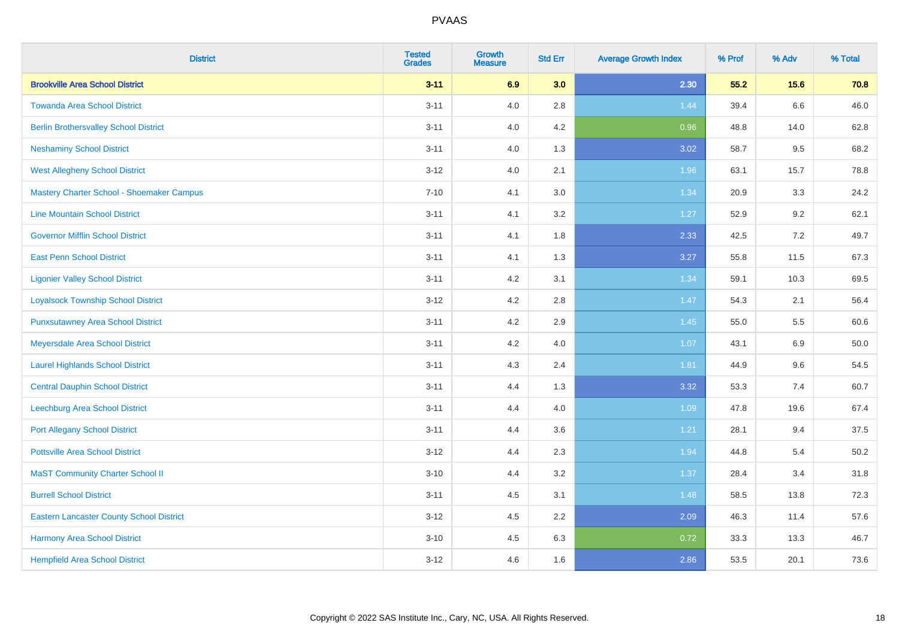| <b>District</b>                                 | <b>Tested</b><br><b>Grades</b> | <b>Growth</b><br><b>Measure</b> | <b>Std Err</b> | <b>Average Growth Index</b> | % Prof | % Adv | % Total |
|-------------------------------------------------|--------------------------------|---------------------------------|----------------|-----------------------------|--------|-------|---------|
| <b>Brookville Area School District</b>          | $3 - 11$                       | 6.9                             | 3.0            | 2.30                        | 55.2   | 15.6  | 70.8    |
| <b>Towanda Area School District</b>             | $3 - 11$                       | 4.0                             | 2.8            | 1.44                        | 39.4   | 6.6   | 46.0    |
| <b>Berlin Brothersvalley School District</b>    | $3 - 11$                       | 4.0                             | 4.2            | 0.96                        | 48.8   | 14.0  | 62.8    |
| <b>Neshaminy School District</b>                | $3 - 11$                       | 4.0                             | 1.3            | 3.02                        | 58.7   | 9.5   | 68.2    |
| <b>West Allegheny School District</b>           | $3 - 12$                       | 4.0                             | 2.1            | 1.96                        | 63.1   | 15.7  | 78.8    |
| Mastery Charter School - Shoemaker Campus       | $7 - 10$                       | 4.1                             | 3.0            | 1.34                        | 20.9   | 3.3   | 24.2    |
| <b>Line Mountain School District</b>            | $3 - 11$                       | 4.1                             | 3.2            | 1.27                        | 52.9   | 9.2   | 62.1    |
| <b>Governor Mifflin School District</b>         | $3 - 11$                       | 4.1                             | 1.8            | 2.33                        | 42.5   | 7.2   | 49.7    |
| <b>East Penn School District</b>                | $3 - 11$                       | 4.1                             | 1.3            | 3.27                        | 55.8   | 11.5  | 67.3    |
| <b>Ligonier Valley School District</b>          | $3 - 11$                       | 4.2                             | 3.1            | 1.34                        | 59.1   | 10.3  | 69.5    |
| <b>Loyalsock Township School District</b>       | $3 - 12$                       | 4.2                             | 2.8            | 1.47                        | 54.3   | 2.1   | 56.4    |
| <b>Punxsutawney Area School District</b>        | $3 - 11$                       | 4.2                             | 2.9            | 1.45                        | 55.0   | 5.5   | 60.6    |
| Meyersdale Area School District                 | $3 - 11$                       | 4.2                             | 4.0            | 1.07                        | 43.1   | 6.9   | 50.0    |
| <b>Laurel Highlands School District</b>         | $3 - 11$                       | 4.3                             | 2.4            | 1.81                        | 44.9   | 9.6   | 54.5    |
| <b>Central Dauphin School District</b>          | $3 - 11$                       | 4.4                             | 1.3            | 3.32                        | 53.3   | 7.4   | 60.7    |
| Leechburg Area School District                  | $3 - 11$                       | 4.4                             | 4.0            | 1.09                        | 47.8   | 19.6  | 67.4    |
| <b>Port Allegany School District</b>            | $3 - 11$                       | 4.4                             | 3.6            | 1.21                        | 28.1   | 9.4   | 37.5    |
| <b>Pottsville Area School District</b>          | $3 - 12$                       | 4.4                             | 2.3            | 1.94                        | 44.8   | 5.4   | 50.2    |
| <b>MaST Community Charter School II</b>         | $3 - 10$                       | 4.4                             | 3.2            | 1.37                        | 28.4   | 3.4   | 31.8    |
| <b>Burrell School District</b>                  | $3 - 11$                       | 4.5                             | 3.1            | 1.48                        | 58.5   | 13.8  | 72.3    |
| <b>Eastern Lancaster County School District</b> | $3 - 12$                       | 4.5                             | 2.2            | 2.09                        | 46.3   | 11.4  | 57.6    |
| Harmony Area School District                    | $3 - 10$                       | 4.5                             | 6.3            | 0.72                        | 33.3   | 13.3  | 46.7    |
| <b>Hempfield Area School District</b>           | $3 - 12$                       | 4.6                             | 1.6            | 2.86                        | 53.5   | 20.1  | 73.6    |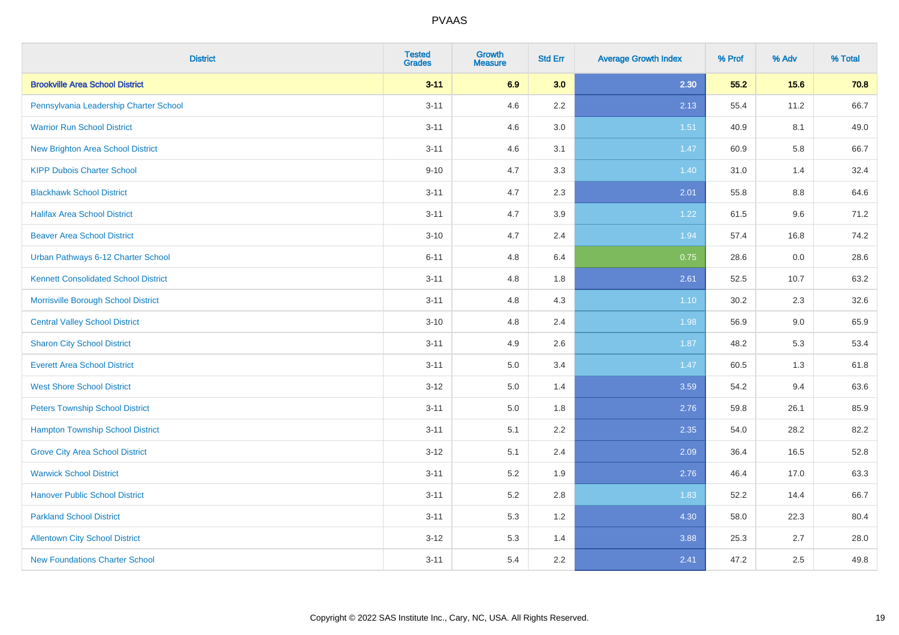| <b>District</b>                             | <b>Tested</b><br><b>Grades</b> | <b>Growth</b><br><b>Measure</b> | <b>Std Err</b> | <b>Average Growth Index</b> | % Prof | % Adv | % Total |
|---------------------------------------------|--------------------------------|---------------------------------|----------------|-----------------------------|--------|-------|---------|
| <b>Brookville Area School District</b>      | $3 - 11$                       | 6.9                             | 3.0            | 2.30                        | 55.2   | 15.6  | 70.8    |
| Pennsylvania Leadership Charter School      | $3 - 11$                       | 4.6                             | 2.2            | 2.13                        | 55.4   | 11.2  | 66.7    |
| <b>Warrior Run School District</b>          | $3 - 11$                       | 4.6                             | 3.0            | 1.51                        | 40.9   | 8.1   | 49.0    |
| <b>New Brighton Area School District</b>    | $3 - 11$                       | 4.6                             | 3.1            | 1.47                        | 60.9   | 5.8   | 66.7    |
| <b>KIPP Dubois Charter School</b>           | $9 - 10$                       | 4.7                             | 3.3            | 1.40                        | 31.0   | 1.4   | 32.4    |
| <b>Blackhawk School District</b>            | $3 - 11$                       | 4.7                             | 2.3            | 2.01                        | 55.8   | 8.8   | 64.6    |
| <b>Halifax Area School District</b>         | $3 - 11$                       | 4.7                             | 3.9            | 1.22                        | 61.5   | 9.6   | 71.2    |
| <b>Beaver Area School District</b>          | $3 - 10$                       | 4.7                             | 2.4            | 1.94                        | 57.4   | 16.8  | 74.2    |
| Urban Pathways 6-12 Charter School          | $6 - 11$                       | 4.8                             | 6.4            | 0.75                        | 28.6   | 0.0   | 28.6    |
| <b>Kennett Consolidated School District</b> | $3 - 11$                       | 4.8                             | 1.8            | 2.61                        | 52.5   | 10.7  | 63.2    |
| Morrisville Borough School District         | $3 - 11$                       | 4.8                             | 4.3            | $1.10$                      | 30.2   | 2.3   | 32.6    |
| <b>Central Valley School District</b>       | $3 - 10$                       | 4.8                             | 2.4            | 1.98                        | 56.9   | 9.0   | 65.9    |
| <b>Sharon City School District</b>          | $3 - 11$                       | 4.9                             | 2.6            | 1.87                        | 48.2   | 5.3   | 53.4    |
| <b>Everett Area School District</b>         | $3 - 11$                       | 5.0                             | 3.4            | 1.47                        | 60.5   | 1.3   | 61.8    |
| <b>West Shore School District</b>           | $3 - 12$                       | 5.0                             | 1.4            | 3.59                        | 54.2   | 9.4   | 63.6    |
| <b>Peters Township School District</b>      | $3 - 11$                       | 5.0                             | 1.8            | 2.76                        | 59.8   | 26.1  | 85.9    |
| <b>Hampton Township School District</b>     | $3 - 11$                       | 5.1                             | 2.2            | 2.35                        | 54.0   | 28.2  | 82.2    |
| <b>Grove City Area School District</b>      | $3 - 12$                       | 5.1                             | 2.4            | 2.09                        | 36.4   | 16.5  | 52.8    |
| <b>Warwick School District</b>              | $3 - 11$                       | 5.2                             | 1.9            | 2.76                        | 46.4   | 17.0  | 63.3    |
| <b>Hanover Public School District</b>       | $3 - 11$                       | 5.2                             | 2.8            | 1.83                        | 52.2   | 14.4  | 66.7    |
| <b>Parkland School District</b>             | $3 - 11$                       | 5.3                             | 1.2            | 4.30                        | 58.0   | 22.3  | 80.4    |
| <b>Allentown City School District</b>       | $3 - 12$                       | 5.3                             | 1.4            | 3.88                        | 25.3   | 2.7   | 28.0    |
| <b>New Foundations Charter School</b>       | $3 - 11$                       | 5.4                             | 2.2            | 2.41                        | 47.2   | 2.5   | 49.8    |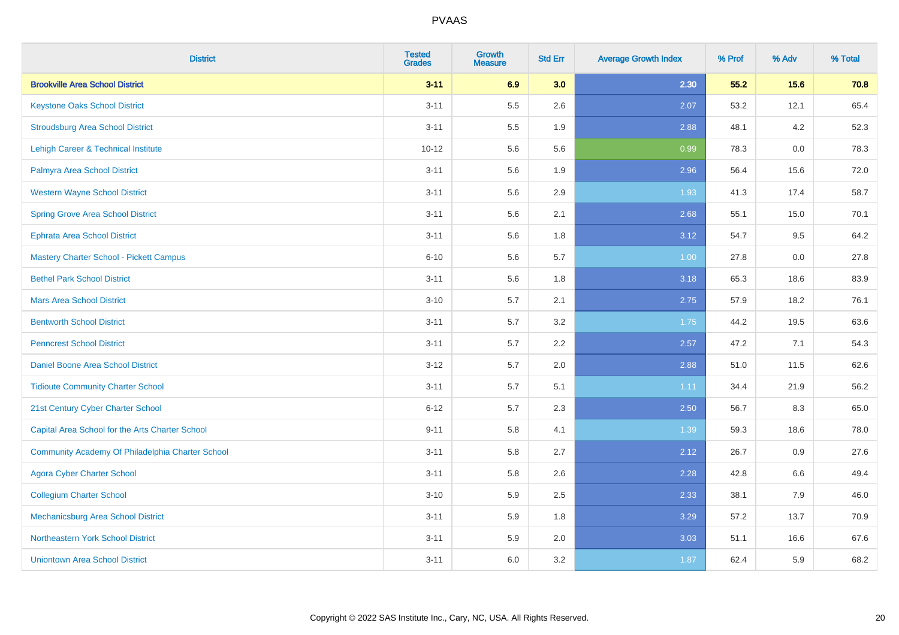| <b>District</b>                                  | <b>Tested</b><br><b>Grades</b> | <b>Growth</b><br><b>Measure</b> | <b>Std Err</b> | <b>Average Growth Index</b> | % Prof | % Adv | % Total |
|--------------------------------------------------|--------------------------------|---------------------------------|----------------|-----------------------------|--------|-------|---------|
| <b>Brookville Area School District</b>           | $3 - 11$                       | 6.9                             | 3.0            | 2.30                        | 55.2   | 15.6  | 70.8    |
| <b>Keystone Oaks School District</b>             | $3 - 11$                       | 5.5                             | 2.6            | 2.07                        | 53.2   | 12.1  | 65.4    |
| <b>Stroudsburg Area School District</b>          | $3 - 11$                       | 5.5                             | 1.9            | 2.88                        | 48.1   | 4.2   | 52.3    |
| Lehigh Career & Technical Institute              | $10 - 12$                      | 5.6                             | 5.6            | 0.99                        | 78.3   | 0.0   | 78.3    |
| Palmyra Area School District                     | $3 - 11$                       | 5.6                             | 1.9            | 2.96                        | 56.4   | 15.6  | 72.0    |
| <b>Western Wayne School District</b>             | $3 - 11$                       | 5.6                             | 2.9            | 1.93                        | 41.3   | 17.4  | 58.7    |
| <b>Spring Grove Area School District</b>         | $3 - 11$                       | 5.6                             | 2.1            | 2.68                        | 55.1   | 15.0  | 70.1    |
| <b>Ephrata Area School District</b>              | $3 - 11$                       | 5.6                             | 1.8            | 3.12                        | 54.7   | 9.5   | 64.2    |
| <b>Mastery Charter School - Pickett Campus</b>   | $6 - 10$                       | 5.6                             | 5.7            | 1.00                        | 27.8   | 0.0   | 27.8    |
| <b>Bethel Park School District</b>               | $3 - 11$                       | 5.6                             | 1.8            | 3.18                        | 65.3   | 18.6  | 83.9    |
| <b>Mars Area School District</b>                 | $3 - 10$                       | 5.7                             | 2.1            | 2.75                        | 57.9   | 18.2  | 76.1    |
| <b>Bentworth School District</b>                 | $3 - 11$                       | 5.7                             | 3.2            | 1.75                        | 44.2   | 19.5  | 63.6    |
| <b>Penncrest School District</b>                 | $3 - 11$                       | 5.7                             | 2.2            | 2.57                        | 47.2   | 7.1   | 54.3    |
| Daniel Boone Area School District                | $3 - 12$                       | 5.7                             | 2.0            | 2.88                        | 51.0   | 11.5  | 62.6    |
| <b>Tidioute Community Charter School</b>         | $3 - 11$                       | 5.7                             | 5.1            | 1.11                        | 34.4   | 21.9  | 56.2    |
| 21st Century Cyber Charter School                | $6 - 12$                       | 5.7                             | 2.3            | 2.50                        | 56.7   | 8.3   | 65.0    |
| Capital Area School for the Arts Charter School  | $9 - 11$                       | 5.8                             | 4.1            | 1.39                        | 59.3   | 18.6  | 78.0    |
| Community Academy Of Philadelphia Charter School | $3 - 11$                       | 5.8                             | 2.7            | 2.12                        | 26.7   | 0.9   | 27.6    |
| <b>Agora Cyber Charter School</b>                | $3 - 11$                       | 5.8                             | 2.6            | 2.28                        | 42.8   | 6.6   | 49.4    |
| <b>Collegium Charter School</b>                  | $3 - 10$                       | 5.9                             | 2.5            | 2.33                        | 38.1   | 7.9   | 46.0    |
| <b>Mechanicsburg Area School District</b>        | $3 - 11$                       | 5.9                             | 1.8            | 3.29                        | 57.2   | 13.7  | 70.9    |
| Northeastern York School District                | $3 - 11$                       | 5.9                             | 2.0            | 3.03                        | 51.1   | 16.6  | 67.6    |
| <b>Uniontown Area School District</b>            | $3 - 11$                       | 6.0                             | 3.2            | 1.87                        | 62.4   | 5.9   | 68.2    |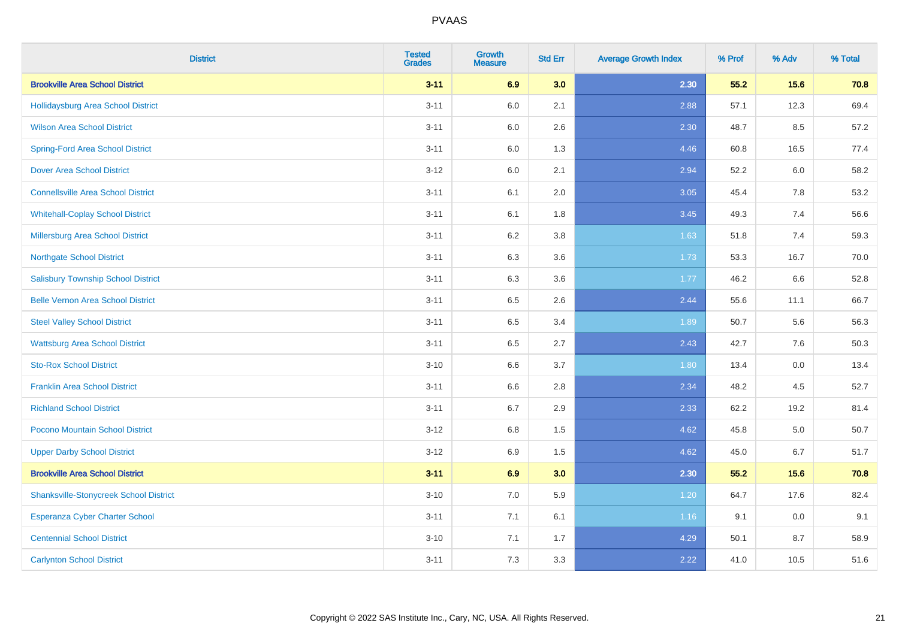| <b>District</b>                               | <b>Tested</b><br><b>Grades</b> | <b>Growth</b><br><b>Measure</b> | <b>Std Err</b> | <b>Average Growth Index</b> | % Prof | % Adv   | % Total |
|-----------------------------------------------|--------------------------------|---------------------------------|----------------|-----------------------------|--------|---------|---------|
| <b>Brookville Area School District</b>        | $3 - 11$                       | 6.9                             | 3.0            | 2.30                        | 55.2   | 15.6    | 70.8    |
| Hollidaysburg Area School District            | $3 - 11$                       | 6.0                             | 2.1            | 2.88                        | 57.1   | 12.3    | 69.4    |
| <b>Wilson Area School District</b>            | $3 - 11$                       | 6.0                             | 2.6            | 2.30                        | 48.7   | 8.5     | 57.2    |
| <b>Spring-Ford Area School District</b>       | $3 - 11$                       | 6.0                             | 1.3            | 4.46                        | 60.8   | 16.5    | 77.4    |
| <b>Dover Area School District</b>             | $3 - 12$                       | 6.0                             | 2.1            | 2.94                        | 52.2   | 6.0     | 58.2    |
| <b>Connellsville Area School District</b>     | $3 - 11$                       | 6.1                             | 2.0            | 3.05                        | 45.4   | 7.8     | 53.2    |
| <b>Whitehall-Coplay School District</b>       | $3 - 11$                       | 6.1                             | 1.8            | 3.45                        | 49.3   | 7.4     | 56.6    |
| <b>Millersburg Area School District</b>       | $3 - 11$                       | 6.2                             | $3.8\,$        | 1.63                        | 51.8   | 7.4     | 59.3    |
| <b>Northgate School District</b>              | $3 - 11$                       | 6.3                             | 3.6            | 1.73                        | 53.3   | 16.7    | 70.0    |
| <b>Salisbury Township School District</b>     | $3 - 11$                       | 6.3                             | 3.6            | 1.77                        | 46.2   | 6.6     | 52.8    |
| <b>Belle Vernon Area School District</b>      | $3 - 11$                       | 6.5                             | 2.6            | 2.44                        | 55.6   | 11.1    | 66.7    |
| <b>Steel Valley School District</b>           | $3 - 11$                       | 6.5                             | 3.4            | 1.89                        | 50.7   | 5.6     | 56.3    |
| <b>Wattsburg Area School District</b>         | $3 - 11$                       | 6.5                             | 2.7            | 2.43                        | 42.7   | 7.6     | 50.3    |
| <b>Sto-Rox School District</b>                | $3 - 10$                       | 6.6                             | 3.7            | 1.80                        | 13.4   | $0.0\,$ | 13.4    |
| <b>Franklin Area School District</b>          | $3 - 11$                       | 6.6                             | 2.8            | 2.34                        | 48.2   | 4.5     | 52.7    |
| <b>Richland School District</b>               | $3 - 11$                       | $6.7\,$                         | 2.9            | 2.33                        | 62.2   | 19.2    | 81.4    |
| Pocono Mountain School District               | $3 - 12$                       | 6.8                             | 1.5            | 4.62                        | 45.8   | 5.0     | 50.7    |
| <b>Upper Darby School District</b>            | $3 - 12$                       | 6.9                             | 1.5            | 4.62                        | 45.0   | 6.7     | 51.7    |
| <b>Brookville Area School District</b>        | $3 - 11$                       | 6.9                             | 3.0            | 2.30                        | 55.2   | 15.6    | 70.8    |
| <b>Shanksville-Stonycreek School District</b> | $3 - 10$                       | 7.0                             | 5.9            | 1.20                        | 64.7   | 17.6    | 82.4    |
| <b>Esperanza Cyber Charter School</b>         | $3 - 11$                       | 7.1                             | 6.1            | 1.16                        | 9.1    | $0.0\,$ | 9.1     |
| <b>Centennial School District</b>             | $3 - 10$                       | 7.1                             | 1.7            | 4.29                        | 50.1   | 8.7     | 58.9    |
| <b>Carlynton School District</b>              | $3 - 11$                       | 7.3                             | 3.3            | 2.22                        | 41.0   | 10.5    | 51.6    |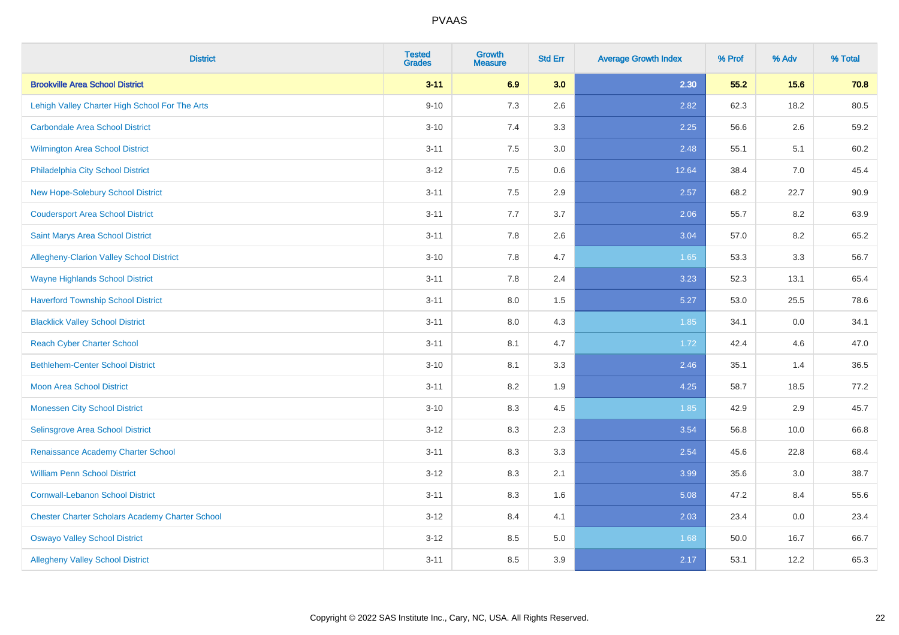| <b>District</b>                                        | <b>Tested</b><br><b>Grades</b> | <b>Growth</b><br><b>Measure</b> | <b>Std Err</b> | <b>Average Growth Index</b> | % Prof | % Adv | % Total |
|--------------------------------------------------------|--------------------------------|---------------------------------|----------------|-----------------------------|--------|-------|---------|
| <b>Brookville Area School District</b>                 | $3 - 11$                       | 6.9                             | 3.0            | 2.30                        | 55.2   | 15.6  | 70.8    |
| Lehigh Valley Charter High School For The Arts         | $9 - 10$                       | 7.3                             | 2.6            | 2.82                        | 62.3   | 18.2  | 80.5    |
| <b>Carbondale Area School District</b>                 | $3 - 10$                       | 7.4                             | 3.3            | 2.25                        | 56.6   | 2.6   | 59.2    |
| <b>Wilmington Area School District</b>                 | $3 - 11$                       | 7.5                             | 3.0            | 2.48                        | 55.1   | 5.1   | 60.2    |
| Philadelphia City School District                      | $3 - 12$                       | 7.5                             | 0.6            | 12.64                       | 38.4   | 7.0   | 45.4    |
| New Hope-Solebury School District                      | $3 - 11$                       | 7.5                             | 2.9            | 2.57                        | 68.2   | 22.7  | 90.9    |
| <b>Coudersport Area School District</b>                | $3 - 11$                       | 7.7                             | 3.7            | 2.06                        | 55.7   | 8.2   | 63.9    |
| <b>Saint Marys Area School District</b>                | $3 - 11$                       | 7.8                             | 2.6            | 3.04                        | 57.0   | 8.2   | 65.2    |
| Allegheny-Clarion Valley School District               | $3 - 10$                       | 7.8                             | 4.7            | 1.65                        | 53.3   | 3.3   | 56.7    |
| <b>Wayne Highlands School District</b>                 | $3 - 11$                       | 7.8                             | 2.4            | 3.23                        | 52.3   | 13.1  | 65.4    |
| <b>Haverford Township School District</b>              | $3 - 11$                       | 8.0                             | 1.5            | 5.27                        | 53.0   | 25.5  | 78.6    |
| <b>Blacklick Valley School District</b>                | $3 - 11$                       | 8.0                             | 4.3            | 1.85                        | 34.1   | 0.0   | 34.1    |
| <b>Reach Cyber Charter School</b>                      | $3 - 11$                       | 8.1                             | 4.7            | 1.72                        | 42.4   | 4.6   | 47.0    |
| <b>Bethlehem-Center School District</b>                | $3 - 10$                       | 8.1                             | 3.3            | 2.46                        | 35.1   | 1.4   | 36.5    |
| <b>Moon Area School District</b>                       | $3 - 11$                       | 8.2                             | 1.9            | 4.25                        | 58.7   | 18.5  | 77.2    |
| <b>Monessen City School District</b>                   | $3 - 10$                       | 8.3                             | 4.5            | 1.85                        | 42.9   | 2.9   | 45.7    |
| Selinsgrove Area School District                       | $3 - 12$                       | 8.3                             | 2.3            | 3.54                        | 56.8   | 10.0  | 66.8    |
| Renaissance Academy Charter School                     | $3 - 11$                       | 8.3                             | 3.3            | 2.54                        | 45.6   | 22.8  | 68.4    |
| <b>William Penn School District</b>                    | $3-12$                         | 8.3                             | 2.1            | 3.99                        | 35.6   | 3.0   | 38.7    |
| <b>Cornwall-Lebanon School District</b>                | $3 - 11$                       | 8.3                             | 1.6            | 5.08                        | 47.2   | 8.4   | 55.6    |
| <b>Chester Charter Scholars Academy Charter School</b> | $3 - 12$                       | 8.4                             | 4.1            | 2.03                        | 23.4   | 0.0   | 23.4    |
| <b>Oswayo Valley School District</b>                   | $3-12$                         | 8.5                             | 5.0            | 1.68                        | 50.0   | 16.7  | 66.7    |
| <b>Allegheny Valley School District</b>                | $3 - 11$                       | 8.5                             | 3.9            | 2.17                        | 53.1   | 12.2  | 65.3    |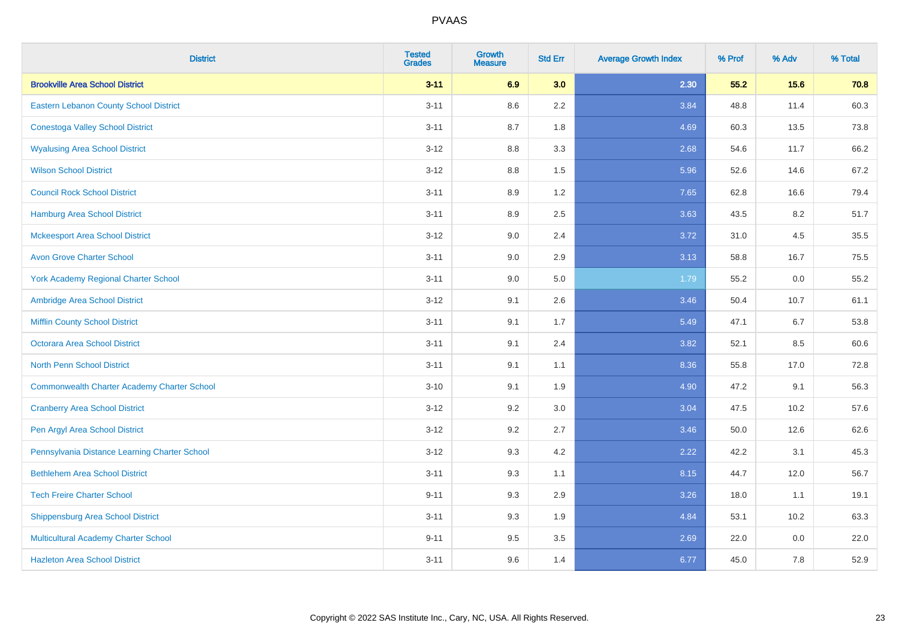| <b>District</b>                                    | <b>Tested</b><br><b>Grades</b> | <b>Growth</b><br><b>Measure</b> | <b>Std Err</b> | <b>Average Growth Index</b> | % Prof | % Adv | % Total |
|----------------------------------------------------|--------------------------------|---------------------------------|----------------|-----------------------------|--------|-------|---------|
| <b>Brookville Area School District</b>             | $3 - 11$                       | 6.9                             | 3.0            | 2.30                        | 55.2   | 15.6  | 70.8    |
| Eastern Lebanon County School District             | $3 - 11$                       | 8.6                             | 2.2            | 3.84                        | 48.8   | 11.4  | 60.3    |
| <b>Conestoga Valley School District</b>            | $3 - 11$                       | 8.7                             | 1.8            | 4.69                        | 60.3   | 13.5  | 73.8    |
| <b>Wyalusing Area School District</b>              | $3-12$                         | 8.8                             | 3.3            | 2.68                        | 54.6   | 11.7  | 66.2    |
| <b>Wilson School District</b>                      | $3 - 12$                       | 8.8                             | 1.5            | 5.96                        | 52.6   | 14.6  | 67.2    |
| <b>Council Rock School District</b>                | $3 - 11$                       | 8.9                             | 1.2            | 7.65                        | 62.8   | 16.6  | 79.4    |
| <b>Hamburg Area School District</b>                | $3 - 11$                       | 8.9                             | 2.5            | 3.63                        | 43.5   | 8.2   | 51.7    |
| <b>Mckeesport Area School District</b>             | $3 - 12$                       | 9.0                             | 2.4            | 3.72                        | 31.0   | 4.5   | 35.5    |
| <b>Avon Grove Charter School</b>                   | $3 - 11$                       | 9.0                             | 2.9            | 3.13                        | 58.8   | 16.7  | 75.5    |
| <b>York Academy Regional Charter School</b>        | $3 - 11$                       | 9.0                             | 5.0            | 1.79                        | 55.2   | 0.0   | 55.2    |
| Ambridge Area School District                      | $3 - 12$                       | 9.1                             | 2.6            | 3.46                        | 50.4   | 10.7  | 61.1    |
| <b>Mifflin County School District</b>              | $3 - 11$                       | 9.1                             | 1.7            | 5.49                        | 47.1   | 6.7   | 53.8    |
| <b>Octorara Area School District</b>               | $3 - 11$                       | 9.1                             | 2.4            | 3.82                        | 52.1   | 8.5   | 60.6    |
| <b>North Penn School District</b>                  | $3 - 11$                       | 9.1                             | 1.1            | 8.36                        | 55.8   | 17.0  | 72.8    |
| <b>Commonwealth Charter Academy Charter School</b> | $3 - 10$                       | 9.1                             | 1.9            | 4.90                        | 47.2   | 9.1   | 56.3    |
| <b>Cranberry Area School District</b>              | $3-12$                         | 9.2                             | 3.0            | 3.04                        | 47.5   | 10.2  | 57.6    |
| Pen Argyl Area School District                     | $3-12$                         | 9.2                             | 2.7            | 3.46                        | 50.0   | 12.6  | 62.6    |
| Pennsylvania Distance Learning Charter School      | $3 - 12$                       | 9.3                             | 4.2            | 2.22                        | 42.2   | 3.1   | 45.3    |
| <b>Bethlehem Area School District</b>              | $3 - 11$                       | 9.3                             | 1.1            | 8.15                        | 44.7   | 12.0  | 56.7    |
| <b>Tech Freire Charter School</b>                  | $9 - 11$                       | 9.3                             | 2.9            | 3.26                        | 18.0   | 1.1   | 19.1    |
| <b>Shippensburg Area School District</b>           | $3 - 11$                       | 9.3                             | 1.9            | 4.84                        | 53.1   | 10.2  | 63.3    |
| Multicultural Academy Charter School               | $9 - 11$                       | 9.5                             | 3.5            | 2.69                        | 22.0   | 0.0   | 22.0    |
| <b>Hazleton Area School District</b>               | $3 - 11$                       | 9.6                             | 1.4            | 6.77                        | 45.0   | 7.8   | 52.9    |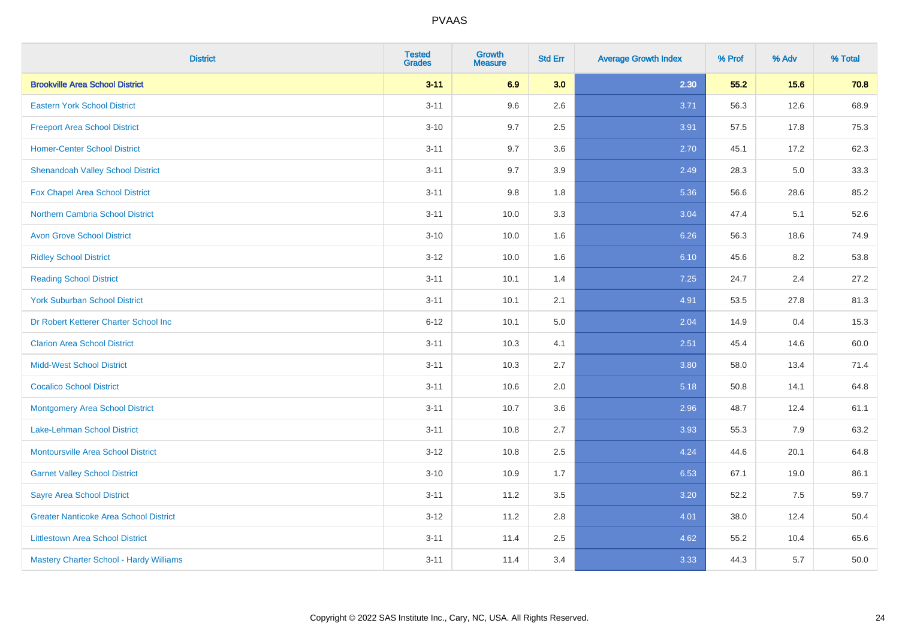| <b>District</b>                               | <b>Tested</b><br><b>Grades</b> | <b>Growth</b><br><b>Measure</b> | <b>Std Err</b> | <b>Average Growth Index</b> | % Prof | % Adv | % Total |
|-----------------------------------------------|--------------------------------|---------------------------------|----------------|-----------------------------|--------|-------|---------|
| <b>Brookville Area School District</b>        | $3 - 11$                       | 6.9                             | 3.0            | 2.30                        | 55.2   | 15.6  | 70.8    |
| <b>Eastern York School District</b>           | $3 - 11$                       | 9.6                             | 2.6            | 3.71                        | 56.3   | 12.6  | 68.9    |
| <b>Freeport Area School District</b>          | $3 - 10$                       | 9.7                             | 2.5            | 3.91                        | 57.5   | 17.8  | 75.3    |
| <b>Homer-Center School District</b>           | $3 - 11$                       | 9.7                             | 3.6            | 2.70                        | 45.1   | 17.2  | 62.3    |
| <b>Shenandoah Valley School District</b>      | $3 - 11$                       | 9.7                             | 3.9            | 2.49                        | 28.3   | 5.0   | 33.3    |
| Fox Chapel Area School District               | $3 - 11$                       | 9.8                             | 1.8            | 5.36                        | 56.6   | 28.6  | 85.2    |
| <b>Northern Cambria School District</b>       | $3 - 11$                       | 10.0                            | 3.3            | 3.04                        | 47.4   | 5.1   | 52.6    |
| <b>Avon Grove School District</b>             | $3 - 10$                       | 10.0                            | 1.6            | 6.26                        | 56.3   | 18.6  | 74.9    |
| <b>Ridley School District</b>                 | $3 - 12$                       | 10.0                            | 1.6            | 6.10                        | 45.6   | 8.2   | 53.8    |
| <b>Reading School District</b>                | $3 - 11$                       | 10.1                            | 1.4            | 7.25                        | 24.7   | 2.4   | 27.2    |
| <b>York Suburban School District</b>          | $3 - 11$                       | 10.1                            | 2.1            | 4.91                        | 53.5   | 27.8  | 81.3    |
| Dr Robert Ketterer Charter School Inc         | $6 - 12$                       | 10.1                            | 5.0            | 2.04                        | 14.9   | 0.4   | 15.3    |
| <b>Clarion Area School District</b>           | $3 - 11$                       | 10.3                            | 4.1            | 2.51                        | 45.4   | 14.6  | 60.0    |
| <b>Midd-West School District</b>              | $3 - 11$                       | 10.3                            | 2.7            | 3.80                        | 58.0   | 13.4  | 71.4    |
| <b>Cocalico School District</b>               | $3 - 11$                       | 10.6                            | 2.0            | 5.18                        | 50.8   | 14.1  | 64.8    |
| <b>Montgomery Area School District</b>        | $3 - 11$                       | 10.7                            | 3.6            | 2.96                        | 48.7   | 12.4  | 61.1    |
| Lake-Lehman School District                   | $3 - 11$                       | 10.8                            | 2.7            | 3.93                        | 55.3   | 7.9   | 63.2    |
| Montoursville Area School District            | $3 - 12$                       | 10.8                            | 2.5            | 4.24                        | 44.6   | 20.1  | 64.8    |
| <b>Garnet Valley School District</b>          | $3 - 10$                       | 10.9                            | 1.7            | 6.53                        | 67.1   | 19.0  | 86.1    |
| <b>Sayre Area School District</b>             | $3 - 11$                       | 11.2                            | 3.5            | 3.20                        | 52.2   | 7.5   | 59.7    |
| <b>Greater Nanticoke Area School District</b> | $3 - 12$                       | 11.2                            | 2.8            | 4.01                        | 38.0   | 12.4  | 50.4    |
| <b>Littlestown Area School District</b>       | $3 - 11$                       | 11.4                            | 2.5            | 4.62                        | 55.2   | 10.4  | 65.6    |
| Mastery Charter School - Hardy Williams       | $3 - 11$                       | 11.4                            | 3.4            | 3.33                        | 44.3   | 5.7   | 50.0    |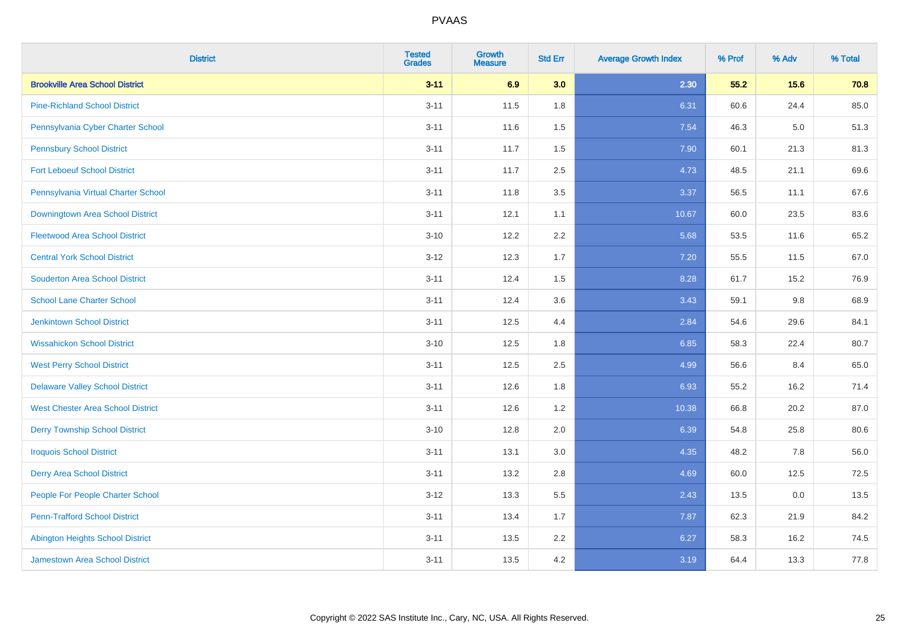| <b>District</b>                          | <b>Tested</b><br><b>Grades</b> | <b>Growth</b><br><b>Measure</b> | <b>Std Err</b> | <b>Average Growth Index</b> | % Prof | % Adv   | % Total |
|------------------------------------------|--------------------------------|---------------------------------|----------------|-----------------------------|--------|---------|---------|
| <b>Brookville Area School District</b>   | $3 - 11$                       | 6.9                             | 3.0            | 2.30                        | 55.2   | 15.6    | 70.8    |
| <b>Pine-Richland School District</b>     | $3 - 11$                       | 11.5                            | 1.8            | 6.31                        | 60.6   | 24.4    | 85.0    |
| Pennsylvania Cyber Charter School        | $3 - 11$                       | 11.6                            | 1.5            | 7.54                        | 46.3   | $5.0\,$ | 51.3    |
| <b>Pennsbury School District</b>         | $3 - 11$                       | 11.7                            | 1.5            | 7.90                        | 60.1   | 21.3    | 81.3    |
| <b>Fort Leboeuf School District</b>      | $3 - 11$                       | 11.7                            | 2.5            | 4.73                        | 48.5   | 21.1    | 69.6    |
| Pennsylvania Virtual Charter School      | $3 - 11$                       | 11.8                            | 3.5            | 3.37                        | 56.5   | 11.1    | 67.6    |
| Downingtown Area School District         | $3 - 11$                       | 12.1                            | 1.1            | 10.67                       | 60.0   | 23.5    | 83.6    |
| <b>Fleetwood Area School District</b>    | $3 - 10$                       | 12.2                            | 2.2            | 5.68                        | 53.5   | 11.6    | 65.2    |
| <b>Central York School District</b>      | $3 - 12$                       | 12.3                            | 1.7            | 7.20                        | 55.5   | 11.5    | 67.0    |
| <b>Souderton Area School District</b>    | $3 - 11$                       | 12.4                            | 1.5            | 8.28                        | 61.7   | 15.2    | 76.9    |
| <b>School Lane Charter School</b>        | $3 - 11$                       | 12.4                            | 3.6            | 3.43                        | 59.1   | 9.8     | 68.9    |
| Jenkintown School District               | $3 - 11$                       | 12.5                            | 4.4            | 2.84                        | 54.6   | 29.6    | 84.1    |
| <b>Wissahickon School District</b>       | $3 - 10$                       | 12.5                            | 1.8            | 6.85                        | 58.3   | 22.4    | 80.7    |
| <b>West Perry School District</b>        | $3 - 11$                       | 12.5                            | 2.5            | 4.99                        | 56.6   | 8.4     | 65.0    |
| <b>Delaware Valley School District</b>   | $3 - 11$                       | 12.6                            | 1.8            | 6.93                        | 55.2   | 16.2    | 71.4    |
| <b>West Chester Area School District</b> | $3 - 11$                       | 12.6                            | 1.2            | 10.38                       | 66.8   | 20.2    | 87.0    |
| <b>Derry Township School District</b>    | $3 - 10$                       | 12.8                            | 2.0            | 6.39                        | 54.8   | 25.8    | 80.6    |
| <b>Iroquois School District</b>          | $3 - 11$                       | 13.1                            | 3.0            | 4.35                        | 48.2   | 7.8     | 56.0    |
| <b>Derry Area School District</b>        | $3 - 11$                       | 13.2                            | 2.8            | 4.69                        | 60.0   | 12.5    | 72.5    |
| People For People Charter School         | $3 - 12$                       | 13.3                            | 5.5            | 2.43                        | 13.5   | 0.0     | 13.5    |
| <b>Penn-Trafford School District</b>     | $3 - 11$                       | 13.4                            | 1.7            | 7.87                        | 62.3   | 21.9    | 84.2    |
| <b>Abington Heights School District</b>  | $3 - 11$                       | 13.5                            | 2.2            | 6.27                        | 58.3   | 16.2    | 74.5    |
| <b>Jamestown Area School District</b>    | $3 - 11$                       | 13.5                            | 4.2            | 3.19                        | 64.4   | 13.3    | 77.8    |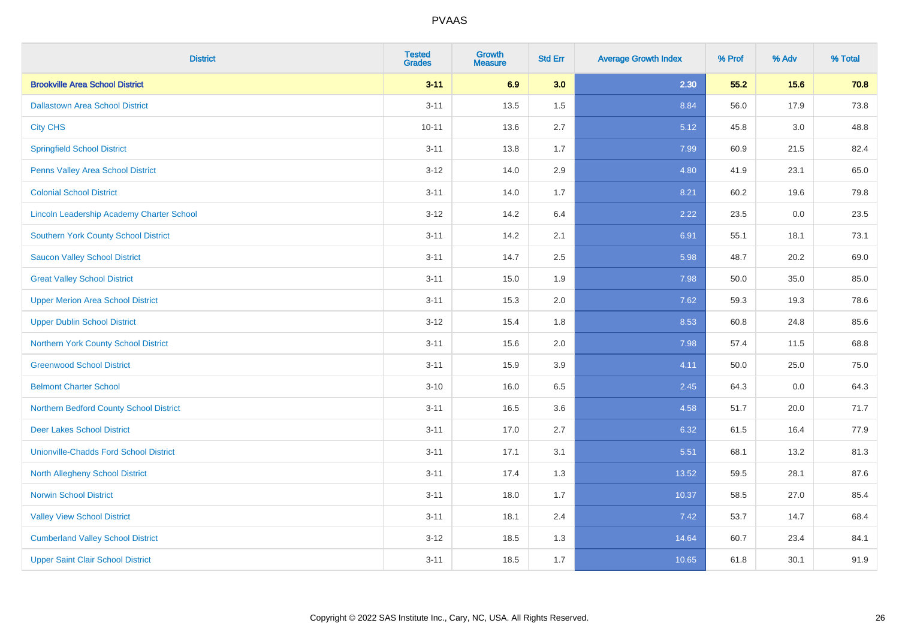| <b>District</b>                                  | <b>Tested</b><br><b>Grades</b> | <b>Growth</b><br><b>Measure</b> | <b>Std Err</b> | <b>Average Growth Index</b> | % Prof | % Adv   | % Total |
|--------------------------------------------------|--------------------------------|---------------------------------|----------------|-----------------------------|--------|---------|---------|
| <b>Brookville Area School District</b>           | $3 - 11$                       | 6.9                             | 3.0            | 2.30                        | 55.2   | 15.6    | 70.8    |
| <b>Dallastown Area School District</b>           | $3 - 11$                       | 13.5                            | 1.5            | 8.84                        | 56.0   | 17.9    | 73.8    |
| <b>City CHS</b>                                  | $10 - 11$                      | 13.6                            | 2.7            | 5.12                        | 45.8   | 3.0     | 48.8    |
| <b>Springfield School District</b>               | $3 - 11$                       | 13.8                            | 1.7            | 7.99                        | 60.9   | 21.5    | 82.4    |
| Penns Valley Area School District                | $3 - 12$                       | 14.0                            | 2.9            | 4.80                        | 41.9   | 23.1    | 65.0    |
| <b>Colonial School District</b>                  | $3 - 11$                       | 14.0                            | 1.7            | 8.21                        | 60.2   | 19.6    | 79.8    |
| <b>Lincoln Leadership Academy Charter School</b> | $3 - 12$                       | 14.2                            | 6.4            | 2.22                        | 23.5   | $0.0\,$ | 23.5    |
| <b>Southern York County School District</b>      | $3 - 11$                       | 14.2                            | 2.1            | 6.91                        | 55.1   | 18.1    | 73.1    |
| <b>Saucon Valley School District</b>             | $3 - 11$                       | 14.7                            | 2.5            | 5.98                        | 48.7   | 20.2    | 69.0    |
| <b>Great Valley School District</b>              | $3 - 11$                       | 15.0                            | 1.9            | 7.98                        | 50.0   | 35.0    | 85.0    |
| <b>Upper Merion Area School District</b>         | $3 - 11$                       | 15.3                            | 2.0            | 7.62                        | 59.3   | 19.3    | 78.6    |
| <b>Upper Dublin School District</b>              | $3 - 12$                       | 15.4                            | 1.8            | 8.53                        | 60.8   | 24.8    | 85.6    |
| Northern York County School District             | $3 - 11$                       | 15.6                            | 2.0            | 7.98                        | 57.4   | 11.5    | 68.8    |
| <b>Greenwood School District</b>                 | $3 - 11$                       | 15.9                            | 3.9            | 4.11                        | 50.0   | 25.0    | 75.0    |
| <b>Belmont Charter School</b>                    | $3 - 10$                       | 16.0                            | 6.5            | 2.45                        | 64.3   | 0.0     | 64.3    |
| Northern Bedford County School District          | $3 - 11$                       | 16.5                            | 3.6            | 4.58                        | 51.7   | 20.0    | 71.7    |
| <b>Deer Lakes School District</b>                | $3 - 11$                       | 17.0                            | 2.7            | 6.32                        | 61.5   | 16.4    | 77.9    |
| <b>Unionville-Chadds Ford School District</b>    | $3 - 11$                       | 17.1                            | 3.1            | 5.51                        | 68.1   | 13.2    | 81.3    |
| <b>North Allegheny School District</b>           | $3 - 11$                       | 17.4                            | 1.3            | 13.52                       | 59.5   | 28.1    | 87.6    |
| <b>Norwin School District</b>                    | $3 - 11$                       | 18.0                            | 1.7            | 10.37                       | 58.5   | 27.0    | 85.4    |
| <b>Valley View School District</b>               | $3 - 11$                       | 18.1                            | 2.4            | 7.42                        | 53.7   | 14.7    | 68.4    |
| <b>Cumberland Valley School District</b>         | $3 - 12$                       | 18.5                            | 1.3            | 14.64                       | 60.7   | 23.4    | 84.1    |
| <b>Upper Saint Clair School District</b>         | $3 - 11$                       | 18.5                            | 1.7            | 10.65                       | 61.8   | 30.1    | 91.9    |